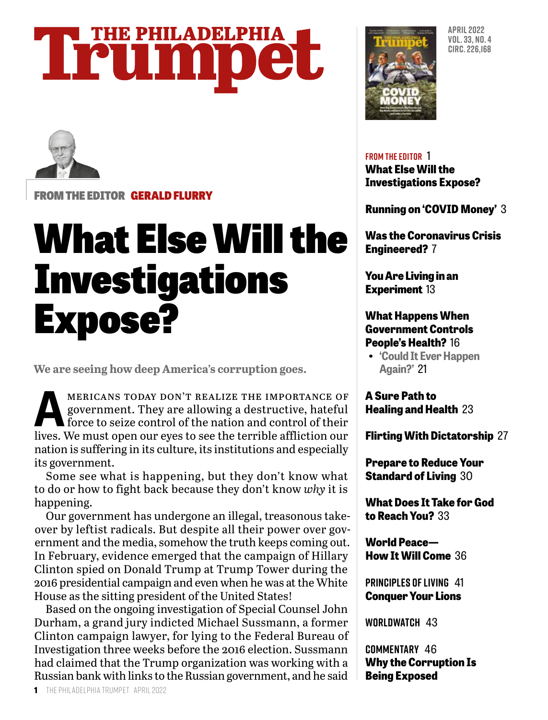### **THE PHILADELPHIA** Trumpet



FROM THE EDITOR GERALD FLURRY

### What Else Will the **Investigations** Expose?

**We are seeing how deep America's corruption goes.**

MERICANS TODAY DON'T REALIZE THE IMPORTANCE OF government. They are allowing a destructive, hateful force to seize control of the nation and control of their government. They are allowing a destructive, hateful force to seize control of the nation and control of their lives. We must open our eyes to see the terrible affliction our nation is suffering in its culture, its institutions and especially its government.

Some see what is happening, but they don't know what to do or how to fight back because they don't know *why* it is happening.

Our government has undergone an illegal, treasonous takeover by leftist radicals. But despite all their power over government and the media, somehow the truth keeps coming out. In February, evidence emerged that the campaign of Hillary Clinton spied on Donald Trump at Trump Tower during the 2016 presidential campaign and even when he was at the White House as the sitting president of the United States!

Based on the ongoing investigation of Special Counsel John Durham, a grand jury indicted Michael Sussmann, a former Clinton campaign lawyer, for lying to the Federal Bureau of Investigation three weeks before the 2016 election. Sussmann had claimed that the Trump organization was working with a Russian bank with links to the Russian government, and he said



**APRIL 2022 VOL. 33, NO. 4 CIRC. 226,168**

**FROM THE EDITOR** 1

**What Else Will the Investigations Expose?**

**Running on 'COVID Money'** 3

**Was the Coronavirus Crisis Engineered?** 7

**You Are Living in an Experiment** 13

#### **What Happens When Government Controls People's Health?** 16

**• 'Could It Ever Happen Again?'** 21

**A Sure Path to Healing and Health** 23

**Flirting With Dictatorship** 27

**Prepare to Reduce Your Standard of Living** 30

**What Does It Take for God to Reach You?** 33

**World Peace— How It Will Come** 36

**PRINCIPLES OF LIVING** 41 **Conquer Your Lions**

**WORLDWATCH** 43

**COMMENTARY** 46 **Why the Corruption Is Being Exposed**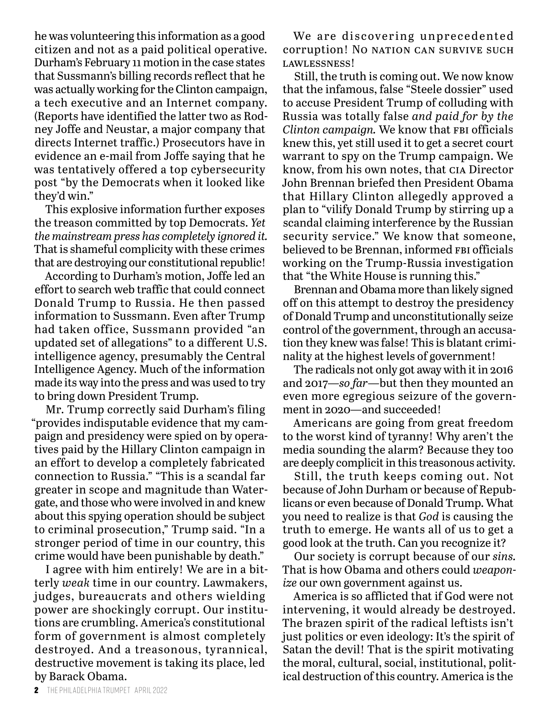he was volunteering this information as a good citizen and not as a paid political operative. Durham's February 11 motion in the case states that Sussmann's billing records reflect that he was actually working for the Clinton campaign, a tech executive and an Internet company. (Reports have identified the latter two as Rodney Joffe and Neustar, a major company that directs Internet traffic.) Prosecutors have in evidence an e-mail from Joffe saying that he was tentatively offered a top cybersecurity post "by the Democrats when it looked like they'd win."

This explosive information further exposes the treason committed by top Democrats. *Yet the mainstream press has completely ignored it.* That is shameful complicity with these crimes that are destroying our constitutional republic!

According to Durham's motion, Joffe led an effort to search web traffic that could connect Donald Trump to Russia. He then passed information to Sussmann. Even after Trump had taken office, Sussmann provided "an updated set of allegations" to a different U.S. intelligence agency, presumably the Central Intelligence Agency. Much of the information made its way into the press and was used to try to bring down President Trump.

Mr. Trump correctly said Durham's filing "provides indisputable evidence that my campaign and presidency were spied on by operatives paid by the Hillary Clinton campaign in an effort to develop a completely fabricated connection to Russia." "This is a scandal far greater in scope and magnitude than Watergate, and those who were involved in and knew about this spying operation should be subject to criminal prosecution," Trump said. "In a stronger period of time in our country, this crime would have been punishable by death."

I agree with him entirely! We are in a bitterly *weak* time in our country. Lawmakers, judges, bureaucrats and others wielding power are shockingly corrupt. Our institutions are crumbling. America's constitutional form of government is almost completely destroyed. And a treasonous, tyrannical, destructive movement is taking its place, led by Barack Obama.

We are discovering unprecedented corruption! No NATION CAN SURVIVE SUCH lawlessness!

Still, the truth is coming out. We now know that the infamous, false "Steele dossier" used to accuse President Trump of colluding with Russia was totally false *and paid for by the Clinton campaign.* We know that FBI officials knew this, yet still used it to get a secret court warrant to spy on the Trump campaign. We know, from his own notes, that cia Director John Brennan briefed then President Obama that Hillary Clinton allegedly approved a plan to "vilify Donald Trump by stirring up a scandal claiming interference by the Russian security service." We know that someone, believed to be Brennan, informed FBI officials working on the Trump-Russia investigation that "the White House is running this."

Brennan and Obama more than likely signed off on this attempt to destroy the presidency of Donald Trump and unconstitutionally seize control of the government, through an accusation they knew was false! This is blatant criminality at the highest levels of government!

The radicals not only got away with it in 2016 and 2017—*so far*—but then they mounted an even more egregious seizure of the government in 2020—and succeeded!

Americans are going from great freedom to the worst kind of tyranny! Why aren't the media sounding the alarm? Because they too are deeply complicit in this treasonous activity.

Still, the truth keeps coming out. Not because of John Durham or because of Republicans or even because of Donald Trump. What you need to realize is that *God* is causing the truth to emerge. He wants all of us to get a good look at the truth. Can you recognize it?

Our society is corrupt because of our *sins.*  That is how Obama and others could *weaponize* our own government against us.

America is so afflicted that if God were not intervening, it would already be destroyed. The brazen spirit of the radical leftists isn't just politics or even ideology: It's the spirit of Satan the devil! That is the spirit motivating the moral, cultural, social, institutional, political destruction of this country. America is the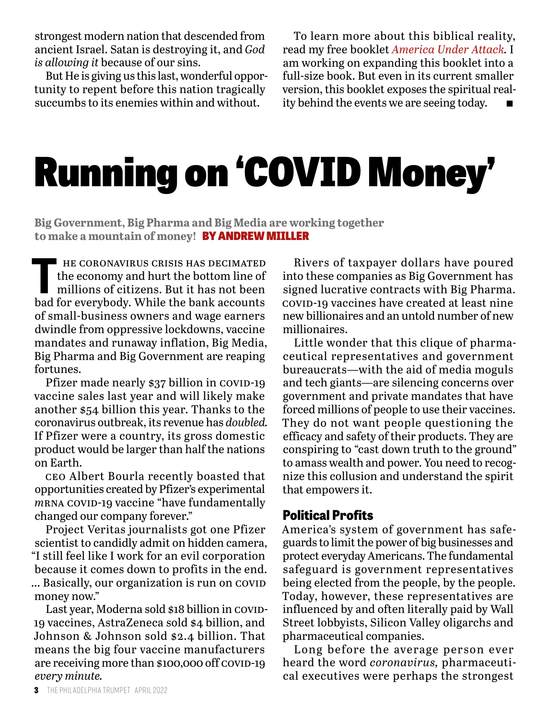strongest modern nation that descended from ancient Israel. Satan is destroying it, and *God is allowing it* because of our sins.

But He is giving us this last, wonderful opportunity to repent before this nation tragically succumbs to its enemies within and without.

To learn more about this biblical reality, read my free booklet *America Under Attack.* I am working on expanding this booklet into a full-size book. But even in its current smaller version, this booklet exposes the spiritual reality behind the events we are seeing today.

## Running on 'COVID Money'

**Big Government, Big Pharma and Big Media are working together to make a mountain of money!** BY ANDREW MIILLER

THE CORONAVIRUS CRISIS HAS DECIMATED<br>the economy and hurt the bottom line of<br>millions of citizens. But it has not been<br>had for everybody. While the bank accounts the economy and hurt the bottom line of millions of citizens. But it has not been bad for everybody. While the bank accounts of small-business owners and wage earners dwindle from oppressive lockdowns, vaccine mandates and runaway inflation, Big Media, Big Pharma and Big Government are reaping fortunes.

Pfizer made nearly \$37 billion in covid-19 vaccine sales last year and will likely make another \$54 billion this year. Thanks to the coronavirus outbreak, its revenue has *doubled.* If Pfizer were a country, its gross domestic product would be larger than half the nations on Earth.

ceo Albert Bourla recently boasted that opportunities created by Pfizer's experimental *m*RNA COVID-19 vaccine "have fundamentally changed our company forever."

Project Veritas journalists got one Pfizer scientist to candidly admit on hidden camera, "I still feel like I work for an evil corporation because it comes down to profits in the end.

... Basically, our organization is run on COVID money now."

Last year, Moderna sold \$18 billion in COVID-19 vaccines, AstraZeneca sold \$4 billion, and Johnson & Johnson sold \$2.4 billion. That means the big four vaccine manufacturers are receiving more than  $$100,000$  off covid-19 *every minute.*

Rivers of taxpayer dollars have poured into these companies as Big Government has signed lucrative contracts with Big Pharma. covid-19 vaccines have created at least nine new billionaires and an untold number of new millionaires.

Little wonder that this clique of pharmaceutical representatives and government bureaucrats—with the aid of media moguls and tech giants—are silencing concerns over government and private mandates that have forced millions of people to use their vaccines. They do not want people questioning the efficacy and safety of their products. They are conspiring to "cast down truth to the ground" to amass wealth and power. You need to recognize this collusion and understand the spirit that empowers it.

#### **Political Profits**

America's system of government has safeguards to limit the power of big businesses and protect everyday Americans. The fundamental safeguard is government representatives being elected from the people, by the people. Today, however, these representatives are influenced by and often literally paid by Wall Street lobbyists, Silicon Valley oligarchs and pharmaceutical companies.

Long before the average person ever heard the word *coronavirus,* pharmaceutical executives were perhaps the strongest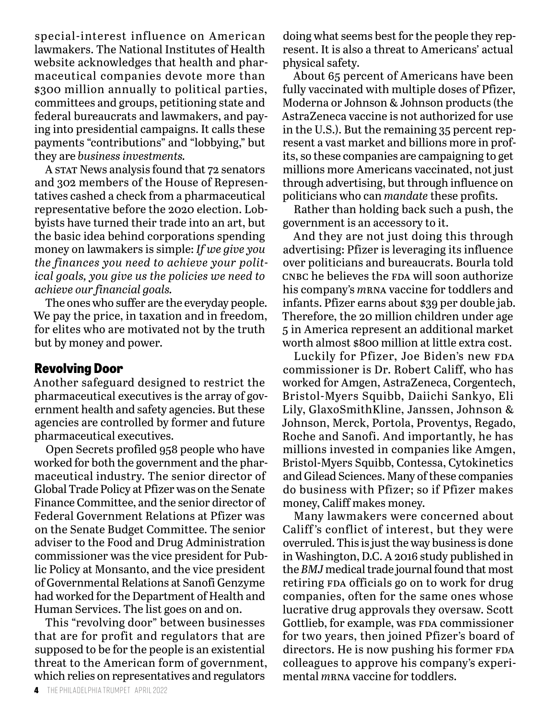special-interest influence on American lawmakers. The National Institutes of Health website acknowledges that health and pharmaceutical companies devote more than \$300 million annually to political parties, committees and groups, petitioning state and federal bureaucrats and lawmakers, and paying into presidential campaigns. It calls these payments "contributions" and "lobbying," but they are *business investments.*

A STAT News analysis found that 72 senators and 302 members of the House of Representatives cashed a check from a pharmaceutical representative before the 2020 election. Lobbyists have turned their trade into an art, but the basic idea behind corporations spending money on lawmakers is simple: *If we give you the finances you need to achieve your political goals, you give us the policies we need to achieve our financial goals.*

The ones who suffer are the everyday people. We pay the price, in taxation and in freedom, for elites who are motivated not by the truth but by money and power.

#### **Revolving Door**

Another safeguard designed to restrict the pharmaceutical executives is the array of government health and safety agencies. But these agencies are controlled by former and future pharmaceutical executives.

Open Secrets profiled 958 people who have worked for both the government and the pharmaceutical industry. The senior director of Global Trade Policy at Pfizer was on the Senate Finance Committee, and the senior director of Federal Government Relations at Pfizer was on the Senate Budget Committee. The senior adviser to the Food and Drug Administration commissioner was the vice president for Public Policy at Monsanto, and the vice president of Governmental Relations at Sanofi Genzyme had worked for the Department of Health and Human Services. The list goes on and on.

This "revolving door" between businesses that are for profit and regulators that are supposed to be for the people is an existential threat to the American form of government, which relies on representatives and regulators

doing what seems best for the people they represent. It is also a threat to Americans' actual physical safety.

About 65 percent of Americans have been fully vaccinated with multiple doses of Pfizer, Moderna or Johnson & Johnson products (the AstraZeneca vaccine is not authorized for use in the U.S.). But the remaining 35 percent represent a vast market and billions more in profits, so these companies are campaigning to get millions more Americans vaccinated, not just through advertising, but through influence on politicians who can *mandate* these profits.

Rather than holding back such a push, the government is an accessory to it.

And they are not just doing this through advertising: Pfizer is leveraging its influence over politicians and bureaucrats. Bourla told CNBC he believes the FDA will soon authorize his company's *m*rna vaccine for toddlers and infants. Pfizer earns about \$39 per double jab. Therefore, the 20 million children under age 5 in America represent an additional market worth almost \$800 million at little extra cost.

Luckily for Pfizer, Joe Biden's new FDA commissioner is Dr. Robert Califf, who has worked for Amgen, AstraZeneca, Corgentech, Bristol-Myers Squibb, Daiichi Sankyo, Eli Lily, GlaxoSmithKline, Janssen, Johnson & Johnson, Merck, Portola, Proventys, Regado, Roche and Sanofi. And importantly, he has millions invested in companies like Amgen, Bristol-Myers Squibb, Contessa, Cytokinetics and Gilead Sciences. Many of these companies do business with Pfizer; so if Pfizer makes money, Califf makes money.

Many lawmakers were concerned about Califf 's conflict of interest, but they were overruled. This is just the way business is done in Washington, D.C. A 2016 study published in the *BMJ* medical trade journal found that most retiring FDA officials go on to work for drug companies, often for the same ones whose lucrative drug approvals they oversaw. Scott Gottlieb, for example, was FDA commissioner for two years, then joined Pfizer's board of directors. He is now pushing his former FDA colleagues to approve his company's experimental *m*rna vaccine for toddlers.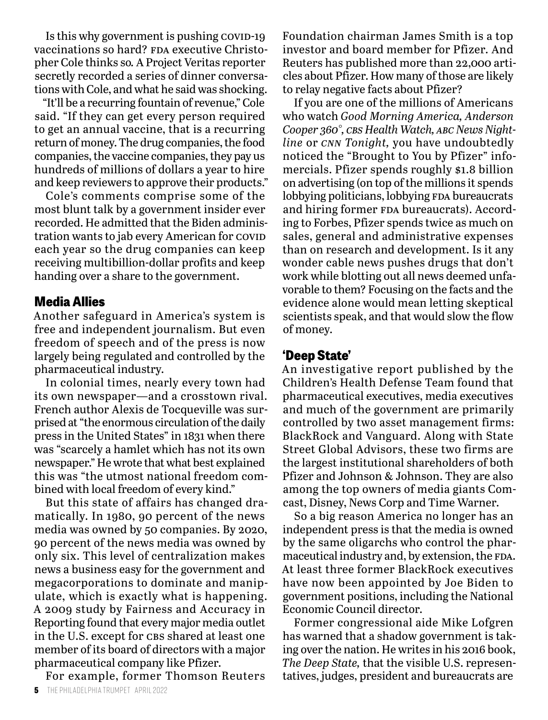Is this why government is pushing  $cov19$ vaccinations so hard? FDA executive Christopher Cole thinks so*.* A Project Veritas reporter secretly recorded a series of dinner conversations with Cole, and what he said was shocking.

"It'll be a recurring fountain of revenue," Cole said. "If they can get every person required to get an annual vaccine, that is a recurring return of money. The drug companies, the food companies, the vaccine companies, they pay us hundreds of millions of dollars a year to hire and keep reviewers to approve their products."

Cole's comments comprise some of the most blunt talk by a government insider ever recorded. He admitted that the Biden administration wants to jab every American for COVID each year so the drug companies can keep receiving multibillion-dollar profits and keep handing over a share to the government.

#### **Media Allies**

Another safeguard in America's system is free and independent journalism. But even freedom of speech and of the press is now largely being regulated and controlled by the pharmaceutical industry.

In colonial times, nearly every town had its own newspaper—and a crosstown rival. French author Alexis de Tocqueville was surprised at "the enormous circulation of the daily press in the United States" in 1831 when there was "scarcely a hamlet which has not its own newspaper." He wrote that what best explained this was "the utmost national freedom combined with local freedom of every kind."

But this state of affairs has changed dramatically. In 1980, 90 percent of the news media was owned by 50 companies. By 2020, 90 percent of the news media was owned by only six. This level of centralization makes news a business easy for the government and megacorporations to dominate and manipulate, which is exactly what is happening. A 2009 study by Fairness and Accuracy in Reporting found that every major media outlet in the U.S. except for CBS shared at least one member of its board of directors with a major pharmaceutical company like Pfizer.

For example, former Thomson Reuters

Foundation chairman James Smith is a top investor and board member for Pfizer. And Reuters has published more than 22,000 articles about Pfizer. How many of those are likely to relay negative facts about Pfizer?

If you are one of the millions of Americans who watch *Good Morning America, Anderson Cooper 360°, cbs Health Watch, abc News Nightline* or *cnn Tonight,* you have undoubtedly noticed the "Brought to You by Pfizer" infomercials. Pfizer spends roughly \$1.8 billion on advertising (on top of the millions it spends lobbying politicians, lobbying FDA bureaucrats and hiring former FDA bureaucrats). According to Forbes, Pfizer spends twice as much on sales, general and administrative expenses than on research and development. Is it any wonder cable news pushes drugs that don't work while blotting out all news deemed unfavorable to them? Focusing on the facts and the evidence alone would mean letting skeptical scientists speak, and that would slow the flow of money.

#### **'Deep State'**

An investigative report published by the Children's Health Defense Team found that pharmaceutical executives, media executives and much of the government are primarily controlled by two asset management firms: BlackRock and Vanguard. Along with State Street Global Advisors, these two firms are the largest institutional shareholders of both Pfizer and Johnson & Johnson. They are also among the top owners of media giants Comcast, Disney, News Corp and Time Warner.

So a big reason America no longer has an independent press is that the media is owned by the same oligarchs who control the pharmaceutical industry and, by extension, the FDA. At least three former BlackRock executives have now been appointed by Joe Biden to government positions, including the National Economic Council director.

Former congressional aide Mike Lofgren has warned that a shadow government is taking over the nation. He writes in his 2016 book, *The Deep State,* that the visible U.S. representatives, judges, president and bureaucrats are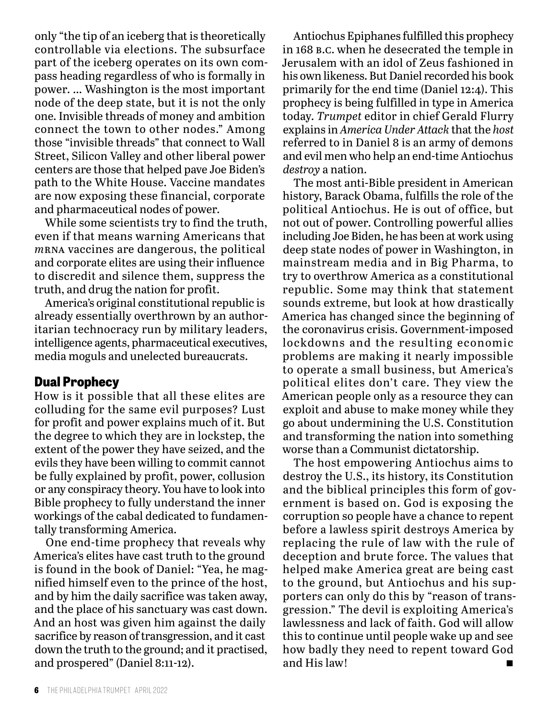only "the tip of an iceberg that is theoretically controllable via elections. The subsurface part of the iceberg operates on its own compass heading regardless of who is formally in power. … Washington is the most important node of the deep state, but it is not the only one. Invisible threads of money and ambition connect the town to other nodes." Among those "invisible threads" that connect to Wall Street, Silicon Valley and other liberal power centers are those that helped pave Joe Biden's path to the White House. Vaccine mandates are now exposing these financial, corporate and pharmaceutical nodes of power.

While some scientists try to find the truth, even if that means warning Americans that *m*rna vaccines are dangerous, the political and corporate elites are using their influence to discredit and silence them, suppress the truth, and drug the nation for profit.

America's original constitutional republic is already essentially overthrown by an authoritarian technocracy run by military leaders, intelligence agents, pharmaceutical executives, media moguls and unelected bureaucrats.

#### **Dual Prophecy**

How is it possible that all these elites are colluding for the same evil purposes? Lust for profit and power explains much of it. But the degree to which they are in lockstep, the extent of the power they have seized, and the evils they have been willing to commit cannot be fully explained by profit, power, collusion or any conspiracy theory. You have to look into Bible prophecy to fully understand the inner workings of the cabal dedicated to fundamentally transforming America.

One end-time prophecy that reveals why America's elites have cast truth to the ground is found in the book of Daniel: "Yea, he magnified himself even to the prince of the host, and by him the daily sacrifice was taken away, and the place of his sanctuary was cast down. And an host was given him against the daily sacrifice by reason of transgression, and it cast down the truth to the ground; and it practised, and prospered" (Daniel 8:11-12).

Antiochus Epiphanes fulfilled this prophecy in 168 b.c. when he desecrated the temple in Jerusalem with an idol of Zeus fashioned in his own likeness. But Daniel recorded his book primarily for the end time (Daniel 12:4). This prophecy is being fulfilled in type in America today. *Trumpet* editor in chief Gerald Flurry explains in *America Under Attack* that the *host* referred to in Daniel 8 is an army of demons and evil men who help an end-time Antiochus *destroy* a nation.

The most anti-Bible president in American history, Barack Obama, fulfills the role of the political Antiochus. He is out of office, but not out of power. Controlling powerful allies including Joe Biden, he has been at work using deep state nodes of power in Washington, in mainstream media and in Big Pharma, to try to overthrow America as a constitutional republic. Some may think that statement sounds extreme, but look at how drastically America has changed since the beginning of the coronavirus crisis. Government-imposed lockdowns and the resulting economic problems are making it nearly impossible to operate a small business, but America's political elites don't care. They view the American people only as a resource they can exploit and abuse to make money while they go about undermining the U.S. Constitution and transforming the nation into something worse than a Communist dictatorship.

The host empowering Antiochus aims to destroy the U.S., its history, its Constitution and the biblical principles this form of government is based on. God is exposing the corruption so people have a chance to repent before a lawless spirit destroys America by replacing the rule of law with the rule of deception and brute force. The values that helped make America great are being cast to the ground, but Antiochus and his supporters can only do this by "reason of transgression." The devil is exploiting America's lawlessness and lack of faith. God will allow this to continue until people wake up and see how badly they need to repent toward God and His law!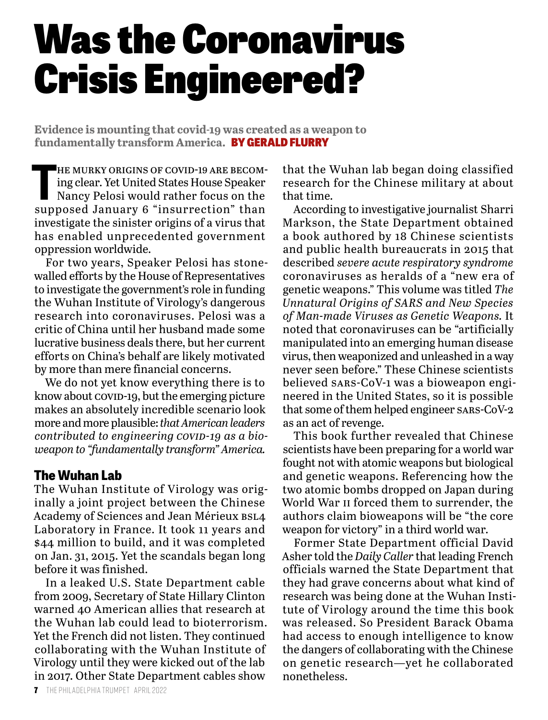## Was the Coronavirus Crisis Engineered?

**Evidence is mounting that covid-19 was created as a weapon to fundamentally transform America.** BY GERALD FLURRY

HE MURKY ORIGINS OF COVID-19 ARE BECOMing clear. Yet United States House Speaker Nancy Pelosi would rather focus on the supposed January 6 "insurrection" than he murky origins of covid-19 are becoming clear. Yet United States House Speaker Nancy Pelosi would rather focus on the investigate the sinister origins of a virus that has enabled unprecedented government oppression worldwide.

For two years, Speaker Pelosi has stonewalled efforts by the House of Representatives to investigate the government's role in funding the Wuhan Institute of Virology's dangerous research into coronaviruses. Pelosi was a critic of China until her husband made some lucrative business deals there, but her current efforts on China's behalf are likely motivated by more than mere financial concerns.

We do not yet know everything there is to know about covid-19, but the emerging picture makes an absolutely incredible scenario look more and more plausible: *that American leaders*  contributed to engineering *covib-19* as a bio*weapon to "fundamentally transform" America.*

#### **The Wuhan Lab**

The Wuhan Institute of Virology was originally a joint project between the Chinese Academy of Sciences and Jean Mérieux bsl4 Laboratory in France. It took 11 years and \$44 million to build, and it was completed on Jan. 31, 2015. Yet the scandals began long before it was finished.

In a leaked U.S. State Department cable from 2009, Secretary of State Hillary Clinton warned 40 American allies that research at the Wuhan lab could lead to bioterrorism. Yet the French did not listen. They continued collaborating with the Wuhan Institute of Virology until they were kicked out of the lab in 2017. Other State Department cables show

that the Wuhan lab began doing classified research for the Chinese military at about that time.

According to investigative journalist Sharri Markson, the State Department obtained a book authored by 18 Chinese scientists and public health bureaucrats in 2015 that described *severe acute respiratory syndrome* coronaviruses as heralds of a "new era of genetic weapons." This volume was titled *The Unnatural Origins of SARS and New Species of Man-made Viruses as Genetic Weapons.* It noted that coronaviruses can be "artificially manipulated into an emerging human disease virus, then weaponized and unleashed in a way never seen before." These Chinese scientists believed sars-CoV-1 was a bioweapon engineered in the United States, so it is possible that some of them helped engineer sars-CoV-2 as an act of revenge.

This book further revealed that Chinese scientists have been preparing for a world war fought not with atomic weapons but biological and genetic weapons. Referencing how the two atomic bombs dropped on Japan during World War ii forced them to surrender, the authors claim bioweapons will be "the core weapon for victory" in a third world war.

Former State Department official David Asher told the *Daily Caller* that leading French officials warned the State Department that they had grave concerns about what kind of research was being done at the Wuhan Institute of Virology around the time this book was released. So President Barack Obama had access to enough intelligence to know the dangers of collaborating with the Chinese on genetic research—yet he collaborated nonetheless.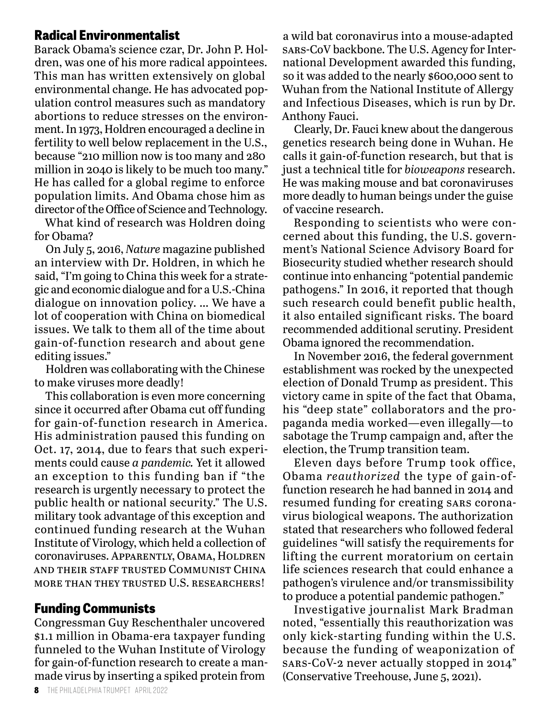#### **Radical Environmentalist**

Barack Obama's science czar, Dr. John P. Holdren, was one of his more radical appointees. This man has written extensively on global environmental change. He has advocated population control measures such as mandatory abortions to reduce stresses on the environment. In 1973, Holdren encouraged a decline in fertility to well below replacement in the U.S., because "210 million now is too many and 280 million in 2040 is likely to be much too many." He has called for a global regime to enforce population limits. And Obama chose him as director of the Office of Science and Technology.

What kind of research was Holdren doing for Obama?

On July 5, 2016, *Nature* magazine published an interview with Dr. Holdren, in which he said, "I'm going to China this week for a strategic and economic dialogue and for a U.S.-China dialogue on innovation policy. … We have a lot of cooperation with China on biomedical issues. We talk to them all of the time about gain-of-function research and about gene editing issues."

Holdren was collaborating with the Chinese to make viruses more deadly!

This collaboration is even more concerning since it occurred after Obama cut off funding for gain-of-function research in America. His administration paused this funding on Oct. 17, 2014, due to fears that such experiments could cause *a pandemic.* Yet it allowed an exception to this funding ban if "the research is urgently necessary to protect the public health or national security." The U.S. military took advantage of this exception and continued funding research at the Wuhan Institute of Virology, which held a collection of coronaviruses. APPARENTLY, OBAMA, HOLDREN and their staff trusted Communist China more than they trusted U.S. researchers!

#### **Funding Communists**

Congressman Guy Reschenthaler uncovered \$1.1 million in Obama-era taxpayer funding funneled to the Wuhan Institute of Virology for gain-of-function research to create a manmade virus by inserting a spiked protein from

a wild bat coronavirus into a mouse-adapted sars-CoV backbone. The U.S. Agency for International Development awarded this funding, so it was added to the nearly \$600,000 sent to Wuhan from the National Institute of Allergy and Infectious Diseases, which is run by Dr. Anthony Fauci.

Clearly, Dr. Fauci knew about the dangerous genetics research being done in Wuhan. He calls it gain-of-function research, but that is just a technical title for *bioweapons* research. He was making mouse and bat coronaviruses more deadly to human beings under the guise of vaccine research.

Responding to scientists who were concerned about this funding, the U.S. government's National Science Advisory Board for Biosecurity studied whether research should continue into enhancing "potential pandemic pathogens." In 2016, it reported that though such research could benefit public health, it also entailed significant risks. The board recommended additional scrutiny. President Obama ignored the recommendation.

In November 2016, the federal government establishment was rocked by the unexpected election of Donald Trump as president. This victory came in spite of the fact that Obama, his "deep state" collaborators and the propaganda media worked—even illegally—to sabotage the Trump campaign and, after the election, the Trump transition team.

Eleven days before Trump took office, Obama *reauthorized* the type of gain-offunction research he had banned in 2014 and resumed funding for creating sars coronavirus biological weapons. The authorization stated that researchers who followed federal guidelines "will satisfy the requirements for lifting the current moratorium on certain life sciences research that could enhance a pathogen's virulence and/or transmissibility to produce a potential pandemic pathogen."

Investigative journalist Mark Bradman noted, "essentially this reauthorization was only kick-starting funding within the U.S. because the funding of weaponization of sars-CoV-2 never actually stopped in 2014" (Conservative Treehouse, June 5, 2021).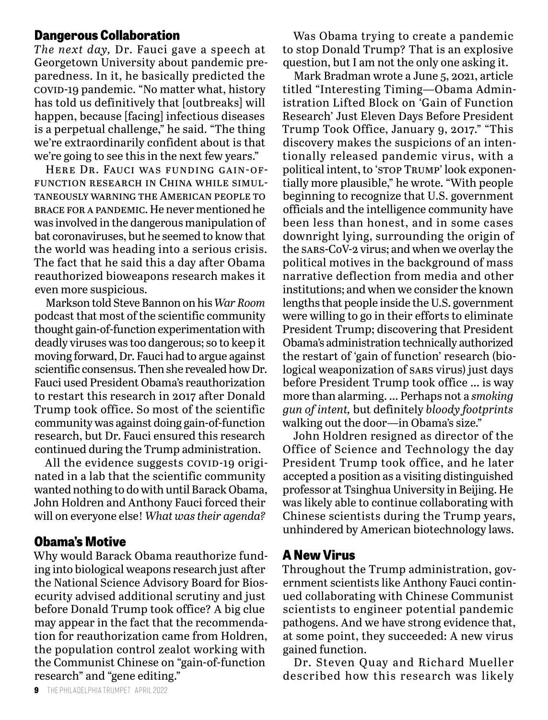#### **Dangerous Collaboration**

*The next day,* Dr. Fauci gave a speech at Georgetown University about pandemic preparedness. In it, he basically predicted the covid-19 pandemic. "No matter what, history has told us definitively that [outbreaks] will happen, because [facing] infectious diseases is a perpetual challenge," he said. "The thing we're extraordinarily confident about is that we're going to see this in the next few years."

Here Dr. Fauci was funding gain-offunction research in China while simultaneously warning the American people to brace for a pandemic. He never mentioned he was involved in the dangerous manipulation of bat coronaviruses, but he seemed to know that the world was heading into a serious crisis. The fact that he said this a day after Obama reauthorized bioweapons research makes it even more suspicious.

Markson told Steve Bannon on his *War Room* podcast that most of the scientific community thought gain-of-function experimentation with deadly viruses was too dangerous; so to keep it moving forward, Dr. Fauci had to argue against scientific consensus. Then she revealed how Dr. Fauci used President Obama's reauthorization to restart this research in 2017 after Donald Trump took office. So most of the scientific community was against doing gain-of-function research, but Dr. Fauci ensured this research continued during the Trump administration.

All the evidence suggests covip-19 originated in a lab that the scientific community wanted nothing to do with until Barack Obama, John Holdren and Anthony Fauci forced their will on everyone else! *What was their agenda?*

#### **Obama's Motive**

Why would Barack Obama reauthorize funding into biological weapons research just after the National Science Advisory Board for Biosecurity advised additional scrutiny and just before Donald Trump took office? A big clue may appear in the fact that the recommendation for reauthorization came from Holdren, the population control zealot working with the Communist Chinese on "gain-of-function research" and "gene editing."

Was Obama trying to create a pandemic to stop Donald Trump? That is an explosive question, but I am not the only one asking it.

Mark Bradman wrote a June 5, 2021, article titled "Interesting Timing—Obama Administration Lifted Block on 'Gain of Function Research' Just Eleven Days Before President Trump Took Office, January 9, 2017." "This discovery makes the suspicions of an intentionally released pandemic virus, with a political intent, to 'stop Trump' look exponentially more plausible," he wrote. "With people beginning to recognize that U.S. government officials and the intelligence community have been less than honest, and in some cases downright lying, surrounding the origin of the sars-CoV-2 virus; and when we overlay the political motives in the background of mass narrative deflection from media and other institutions; and when we consider the known lengths that people inside the U.S. government were willing to go in their efforts to eliminate President Trump; discovering that President Obama's administration technically authorized the restart of 'gain of function' research (biological weaponization of sars virus) just days before President Trump took office … is way more than alarming. … Perhaps not a *smoking gun of intent,* but definitely *bloody footprints* walking out the door—in Obama's size."

John Holdren resigned as director of the Office of Science and Technology the day President Trump took office, and he later accepted a position as a visiting distinguished professor at Tsinghua University in Beijing. He was likely able to continue collaborating with Chinese scientists during the Trump years, unhindered by American biotechnology laws.

#### **A New Virus**

Throughout the Trump administration, government scientists like Anthony Fauci continued collaborating with Chinese Communist scientists to engineer potential pandemic pathogens. And we have strong evidence that, at some point, they succeeded: A new virus gained function.

Dr. Steven Quay and Richard Mueller described how this research was likely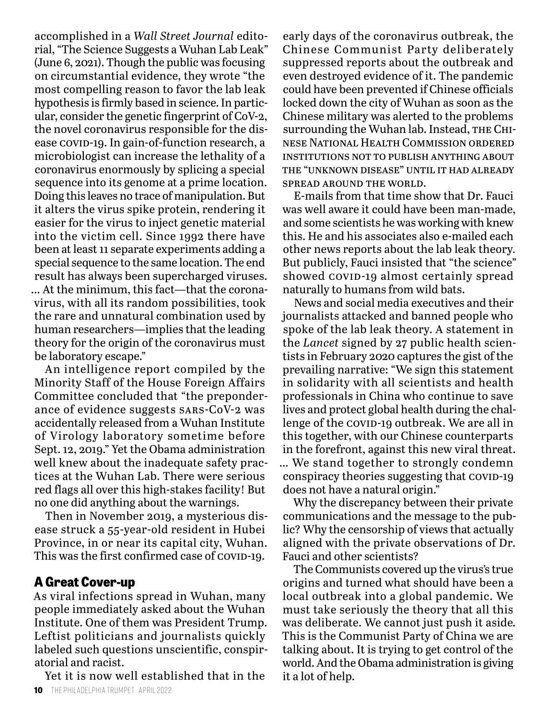accomplished in a *Wall Street Journal* editorial, "The Science Suggests a Wuhan Lab Leak" (June 6, 2021). Though the public was focusing on circumstantial evidence, they wrote "the most compelling reason to favor the lab leak hypothesis is firmly based in science. In particular, consider the genetic fingerprint of CoV-2, the novel coronavirus responsible for the disease covip-19. In gain-of-function research, a microbiologist can increase the lethality of a coronavirus enormously by splicing a special sequence into its genome at a prime location. Doing this leaves no trace of manipulation. But it alters the virus spike protein, rendering it easier for the virus to inject genetic material into the victim cell. Since 1992 there have been at least 11 separate experiments adding a special sequence to the same location. The end result has always been supercharged viruses. … At the minimum, this fact—that the coronavirus, with all its random possibilities, took the rare and unnatural combination used by human researchers—implies that the leading theory for the origin of the coronavirus must be laboratory escape."

An intelligence report compiled by the Minority Staff of the House Foreign Affairs Committee concluded that "the preponderance of evidence suggests sars-CoV-2 was accidentally released from a Wuhan Institute of Virology laboratory sometime before Sept. 12, 2019." Yet the Obama administration well knew about the inadequate safety practices at the Wuhan Lab. There were serious red flags all over this high-stakes facility! But no one did anything about the warnings.

Then in November 2019, a mysterious disease struck a 55-year-old resident in Hubei Province, in or near its capital city, Wuhan. This was the first confirmed case of COVID-19.

#### **A Great Cover-up**

As viral infections spread in Wuhan, many people immediately asked about the Wuhan Institute. One of them was President Trump. Leftist politicians and journalists quickly labeled such questions unscientific, conspiratorial and racist.

Yet it is now well established that in the

early days of the coronavirus outbreak, the Chinese Communist Party deliberately suppressed reports about the outbreak and even destroyed evidence of it. The pandemic could have been prevented if Chinese officials locked down the city of Wuhan as soon as the Chinese military was alerted to the problems surrounding the Wuhan lab. Instead, THE CHInese National Health Commission ordered institutions not to publish anything about the "unknown disease" until it had already spread around the world.

E-mails from that time show that Dr. Fauci was well aware it could have been man-made, and some scientists he was working with knew this. He and his associates also e-mailed each other news reports about the lab leak theory. But publicly, Fauci insisted that "the science" showed covip-19 almost certainly spread naturally to humans from wild bats.

News and social media executives and their journalists attacked and banned people who spoke of the lab leak theory. A statement in the *Lancet* signed by 27 public health scientists in February 2020 captures the gist of the prevailing narrative: "We sign this statement in solidarity with all scientists and health professionals in China who continue to save lives and protect global health during the challenge of the covid-19 outbreak. We are all in this together, with our Chinese counterparts in the forefront, against this new viral threat. … We stand together to strongly condemn conspiracy theories suggesting that COVID-19

does not have a natural origin." Why the discrepancy between their private

communications and the message to the public? Why the censorship of views that actually aligned with the private observations of Dr. Fauci and other scientists?

The Communists covered up the virus's true origins and turned what should have been a local outbreak into a global pandemic. We must take seriously the theory that all this was deliberate. We cannot just push it aside*.* This is the Communist Party of China we are talking about. It is trying to get control of the world. And the Obama administration is giving it a lot of help.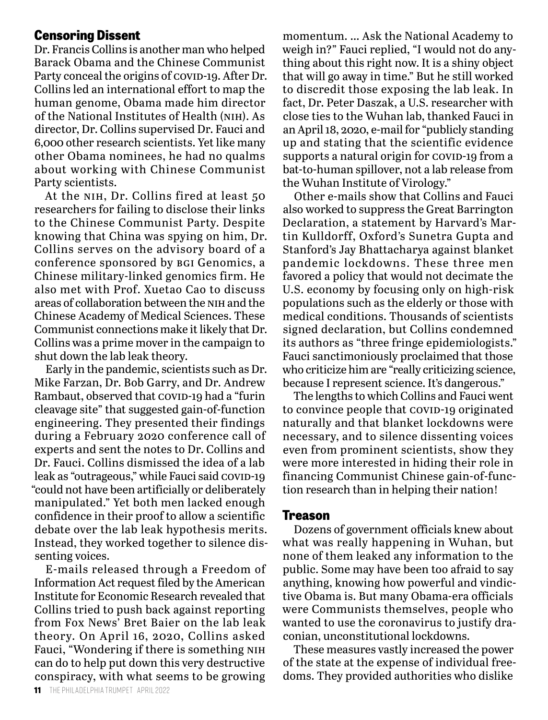#### **Censoring Dissent**

Dr. Francis Collins is another man who helped Barack Obama and the Chinese Communist Party conceal the origins of covid-19. After Dr. Collins led an international effort to map the human genome, Obama made him director of the National Institutes of Health (nih). As director, Dr. Collins supervised Dr. Fauci and 6,000 other research scientists. Yet like many other Obama nominees, he had no qualms about working with Chinese Communist Party scientists.

At the NIH, Dr. Collins fired at least 50 researchers for failing to disclose their links to the Chinese Communist Party. Despite knowing that China was spying on him, Dr. Collins serves on the advisory board of a conference sponsored by bgi Genomics, a Chinese military-linked genomics firm. He also met with Prof. Xuetao Cao to discuss areas of collaboration between the nih and the Chinese Academy of Medical Sciences. These Communist connections make it likely that Dr. Collins was a prime mover in the campaign to shut down the lab leak theory.

Early in the pandemic, scientists such as Dr. Mike Farzan, Dr. Bob Garry, and Dr. Andrew Rambaut, observed that COVID-19 had a "furin cleavage site" that suggested gain-of-function engineering. They presented their findings during a February 2020 conference call of experts and sent the notes to Dr. Collins and Dr. Fauci. Collins dismissed the idea of a lab leak as "outrageous," while Fauci said COVID-19 "could not have been artificially or deliberately manipulated." Yet both men lacked enough confidence in their proof to allow a scientific debate over the lab leak hypothesis merits. Instead, they worked together to silence dissenting voices.

E-mails released through a Freedom of Information Act request filed by the American Institute for Economic Research revealed that Collins tried to push back against reporting from Fox News' Bret Baier on the lab leak theory. On April 16, 2020, Collins asked Fauci, "Wondering if there is something nih can do to help put down this very destructive conspiracy, with what seems to be growing

momentum. … Ask the National Academy to weigh in?" Fauci replied, "I would not do anything about this right now. It is a shiny object that will go away in time." But he still worked to discredit those exposing the lab leak. In fact, Dr. Peter Daszak, a U.S. researcher with close ties to the Wuhan lab, thanked Fauci in an April 18, 2020, e-mail for "publicly standing up and stating that the scientific evidence supports a natural origin for COVID-19 from a bat-to-human spillover, not a lab release from the Wuhan Institute of Virology."

Other e-mails show that Collins and Fauci also worked to suppress the Great Barrington Declaration, a statement by Harvard's Martin Kulldorff, Oxford's Sunetra Gupta and Stanford's Jay Bhattacharya against blanket pandemic lockdowns. These three men favored a policy that would not decimate the U.S. economy by focusing only on high-risk populations such as the elderly or those with medical conditions. Thousands of scientists signed declaration, but Collins condemned its authors as "three fringe epidemiologists." Fauci sanctimoniously proclaimed that those who criticize him are "really criticizing science, because I represent science. It's dangerous."

The lengths to which Collins and Fauci went to convince people that COVID-19 originated naturally and that blanket lockdowns were necessary, and to silence dissenting voices even from prominent scientists, show they were more interested in hiding their role in financing Communist Chinese gain-of-function research than in helping their nation!

#### **Treason**

Dozens of government officials knew about what was really happening in Wuhan, but none of them leaked any information to the public. Some may have been too afraid to say anything, knowing how powerful and vindictive Obama is. But many Obama-era officials were Communists themselves, people who wanted to use the coronavirus to justify draconian, unconstitutional lockdowns.

These measures vastly increased the power of the state at the expense of individual freedoms. They provided authorities who dislike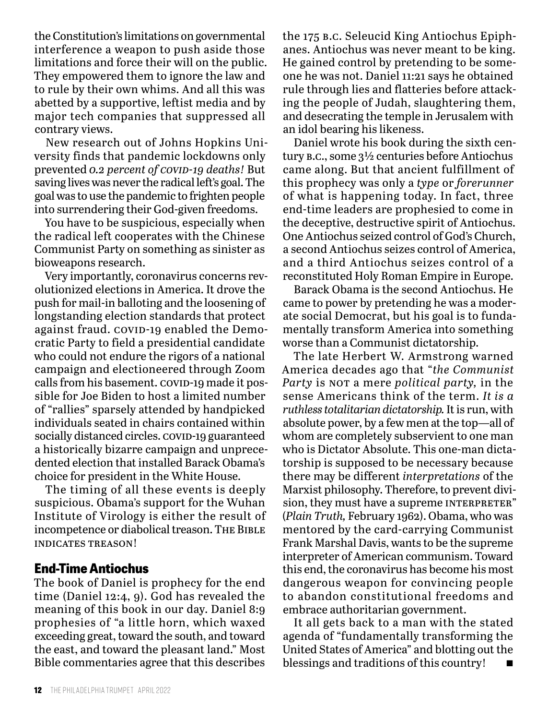the Constitution's limitations on governmental interference a weapon to push aside those limitations and force their will on the public. They empowered them to ignore the law and to rule by their own whims. And all this was abetted by a supportive, leftist media and by major tech companies that suppressed all contrary views.

New research out of Johns Hopkins University finds that pandemic lockdowns only prevented 0.2 percent of *covid-19* deaths! But saving lives was never the radical left's goal. The goal was to use the pandemic to frighten people into surrendering their God-given freedoms.

You have to be suspicious, especially when the radical left cooperates with the Chinese Communist Party on something as sinister as bioweapons research.

Very importantly, coronavirus concerns revolutionized elections in America. It drove the push for mail-in balloting and the loosening of longstanding election standards that protect against fraud. covip-19 enabled the Democratic Party to field a presidential candidate who could not endure the rigors of a national campaign and electioneered through Zoom calls from his basement. COVID-19 made it possible for Joe Biden to host a limited number of "rallies" sparsely attended by handpicked individuals seated in chairs contained within socially distanced circles. COVID-19 guaranteed a historically bizarre campaign and unprecedented election that installed Barack Obama's choice for president in the White House.

The timing of all these events is deeply suspicious. Obama's support for the Wuhan Institute of Virology is either the result of incompetence or diabolical treason. The Bible indicates treason!

#### **End-Time Antiochus**

The book of Daniel is prophecy for the end time (Daniel 12:4, 9). God has revealed the meaning of this book in our day. Daniel 8:9 prophesies of "a little horn, which waxed exceeding great, toward the south, and toward the east, and toward the pleasant land." Most Bible commentaries agree that this describes

the 175 b.c. Seleucid King Antiochus Epiphanes. Antiochus was never meant to be king. He gained control by pretending to be someone he was not. Daniel 11:21 says he obtained rule through lies and flatteries before attacking the people of Judah, slaughtering them, and desecrating the temple in Jerusalem with an idol bearing his likeness.

Daniel wrote his book during the sixth century b.c., some 3½ centuries before Antiochus came along. But that ancient fulfillment of this prophecy was only a *type* or *forerunner* of what is happening today. In fact, three end-time leaders are prophesied to come in the deceptive, destructive spirit of Antiochus. One Antiochus seized control of God's Church, a second Antiochus seizes control of America, and a third Antiochus seizes control of a reconstituted Holy Roman Empire in Europe.

Barack Obama is the second Antiochus. He came to power by pretending he was a moderate social Democrat, but his goal is to fundamentally transform America into something worse than a Communist dictatorship.

The late Herbert W. Armstrong warned America decades ago that "*the Communist Party* is not a mere *political party*, in the sense Americans think of the term. *It is a ruthless totalitarian dictatorship.* It is run, with absolute power, by a few men at the top—all of whom are completely subservient to one man who is Dictator Absolute. This one-man dictatorship is supposed to be necessary because there may be different *interpretations* of the Marxist philosophy. Therefore, to prevent division, they must have a supreme INTERPRETER" (*Plain Truth,* February 1962). Obama, who was mentored by the card-carrying Communist Frank Marshal Davis, wants to be the supreme interpreter of American communism. Toward this end, the coronavirus has become his most dangerous weapon for convincing people to abandon constitutional freedoms and embrace authoritarian government.

It all gets back to a man with the stated agenda of "fundamentally transforming the United States of America" and blotting out the blessings and traditions of this country!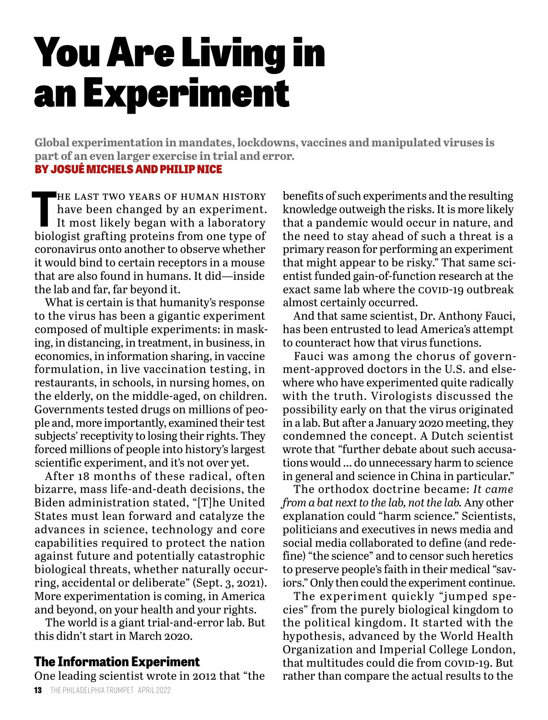## You Are Living in an Experiment

**Global experimentation in mandates, lockdowns, vaccines and manipulated viruses is part of an even larger exercise in trial and error.**

#### BY JOSUÉ MICHELS AND PHILIP NICE

HE LAST TWO YEARS OF HUMAN HISTORY<br>have been changed by an experiment.<br>It most likely began with a laboratory<br>biologist grafting proteins from one type of he last two years of human history have been changed by an experiment. It most likely began with a laboratory coronavirus onto another to observe whether it would bind to certain receptors in a mouse that are also found in humans. It did—inside the lab and far, far beyond it.

What is certain is that humanity's response to the virus has been a gigantic experiment composed of multiple experiments: in masking, in distancing, in treatment, in business, in economics, in information sharing, in vaccine formulation, in live vaccination testing, in restaurants, in schools, in nursing homes, on the elderly, on the middle-aged, on children. Governments tested drugs on millions of people and, more importantly, examined their test subjects' receptivity to losing their rights. They forced millions of people into history's largest scientific experiment, and it's not over yet.

After 18 months of these radical, often bizarre, mass life-and-death decisions, the Biden administration stated, "[T]he United States must lean forward and catalyze the advances in science, technology and core capabilities required to protect the nation against future and potentially catastrophic biological threats, whether naturally occurring, accidental or deliberate" (Sept. 3, 2021). More experimentation is coming, in America and beyond, on your health and your rights.

The world is a giant trial-and-error lab. But this didn't start in March 2020.

#### **The Information Experiment**

One leading scientist wrote in 2012 that "the

benefits of such experiments and the resulting knowledge outweigh the risks. It is more likely that a pandemic would occur in nature, and the need to stay ahead of such a threat is a primary reason for performing an experiment that might appear to be risky." That same scientist funded gain-of-function research at the exact same lab where the COVID-19 outbreak almost certainly occurred.

And that same scientist, Dr. Anthony Fauci, has been entrusted to lead America's attempt to counteract how that virus functions.

Fauci was among the chorus of government-approved doctors in the U.S. and elsewhere who have experimented quite radically with the truth. Virologists discussed the possibility early on that the virus originated in a lab. But after a January 2020 meeting, they condemned the concept. A Dutch scientist wrote that "further debate about such accusations would … do unnecessary harm to science in general and science in China in particular."

The orthodox doctrine became: *It came from a bat next to the lab, not the lab.* Any other explanation could "harm science." Scientists, politicians and executives in news media and social media collaborated to define (and redefine) "the science" and to censor such heretics to preserve people's faith in their medical "saviors." Only then could the experiment continue.

The experiment quickly "jumped species" from the purely biological kingdom to the political kingdom. It started with the hypothesis, advanced by the World Health Organization and Imperial College London, that multitudes could die from COVID-19. But rather than compare the actual results to the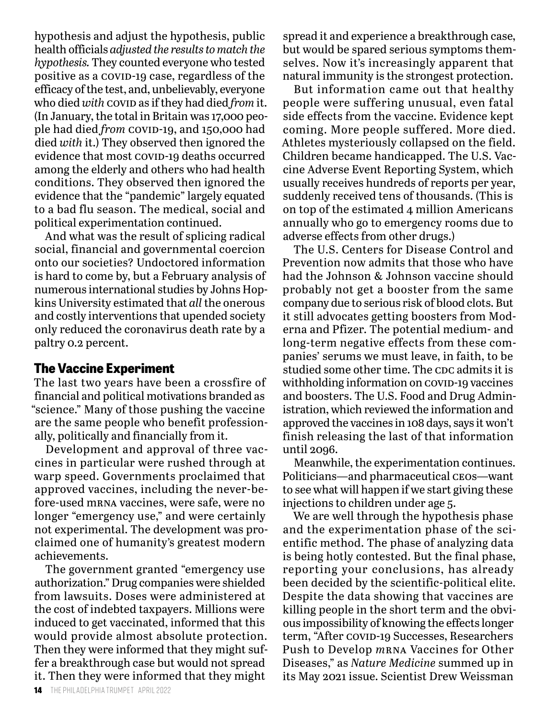hypothesis and adjust the hypothesis, public health officials *adjusted the results to match the hypothesis.* They counted everyone who tested positive as a covid-19 case, regardless of the efficacy of the test, and, unbelievably, everyone who died *with* covid as if they had died *from* it. (In January, the total in Britain was 17,000 people had died *from* covid-19, and 150,000 had died *with* it.) They observed then ignored the evidence that most covip-19 deaths occurred among the elderly and others who had health conditions. They observed then ignored the evidence that the "pandemic" largely equated to a bad flu season. The medical, social and political experimentation continued.

And what was the result of splicing radical social, financial and governmental coercion onto our societies? Undoctored information is hard to come by, but a February analysis of numerous international studies by Johns Hopkins University estimated that *all* the onerous and costly interventions that upended society only reduced the coronavirus death rate by a paltry 0.2 percent.

#### **The Vaccine Experiment**

The last two years have been a crossfire of financial and political motivations branded as "science." Many of those pushing the vaccine are the same people who benefit professionally, politically and financially from it.

Development and approval of three vaccines in particular were rushed through at warp speed. Governments proclaimed that approved vaccines, including the never-before-used mrna vaccines, were safe, were no longer "emergency use," and were certainly not experimental. The development was proclaimed one of humanity's greatest modern achievements.

The government granted "emergency use authorization." Drug companies were shielded from lawsuits. Doses were administered at the cost of indebted taxpayers. Millions were induced to get vaccinated, informed that this would provide almost absolute protection. Then they were informed that they might suffer a breakthrough case but would not spread it. Then they were informed that they might

spread it and experience a breakthrough case, but would be spared serious symptoms themselves. Now it's increasingly apparent that natural immunity is the strongest protection.

But information came out that healthy people were suffering unusual, even fatal side effects from the vaccine. Evidence kept coming. More people suffered. More died. Athletes mysteriously collapsed on the field. Children became handicapped. The U.S. Vaccine Adverse Event Reporting System, which usually receives hundreds of reports per year, suddenly received tens of thousands. (This is on top of the estimated 4 million Americans annually who go to emergency rooms due to adverse effects from other drugs.)

The U.S. Centers for Disease Control and Prevention now admits that those who have had the Johnson & Johnson vaccine should probably not get a booster from the same company due to serious risk of blood clots. But it still advocates getting boosters from Moderna and Pfizer. The potential medium- and long-term negative effects from these companies' serums we must leave, in faith, to be studied some other time. The cpc admits it is withholding information on COVID-19 vaccines and boosters. The U.S. Food and Drug Administration, which reviewed the information and approved the vaccines in 108 days, says it won't finish releasing the last of that information until 2096.

Meanwhile, the experimentation continues. Politicians—and pharmaceutical ceos—want to see what will happen if we start giving these injections to children under age 5.

We are well through the hypothesis phase and the experimentation phase of the scientific method. The phase of analyzing data is being hotly contested. But the final phase, reporting your conclusions, has already been decided by the scientific-political elite. Despite the data showing that vaccines are killing people in the short term and the obvious impossibility of knowing the effects longer term, "After covid-19 Successes, Researchers Push to Develop *m*rna Vaccines for Other Diseases," as *Nature Medicine* summed up in its May 2021 issue. Scientist Drew Weissman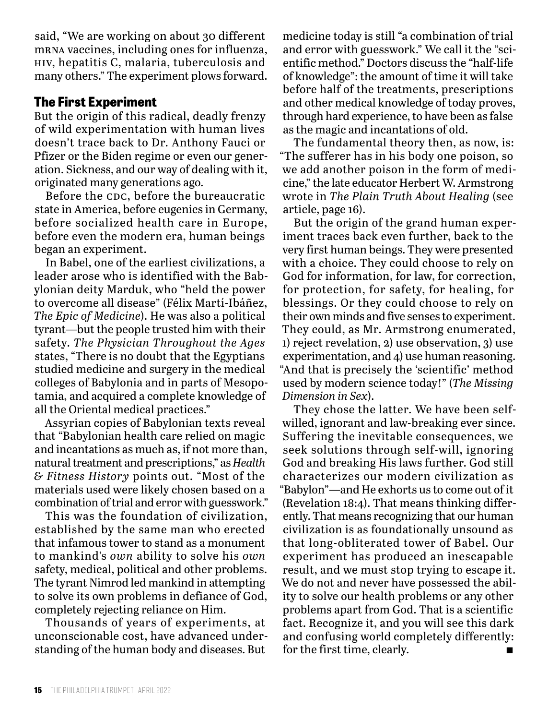said, "We are working on about 30 different mrna vaccines, including ones for influenza, hiv, hepatitis C, malaria, tuberculosis and many others." The experiment plows forward.

#### **The First Experiment**

But the origin of this radical, deadly frenzy of wild experimentation with human lives doesn't trace back to Dr. Anthony Fauci or Pfizer or the Biden regime or even our generation. Sickness, and our way of dealing with it, originated many generations ago.

Before the CDC, before the bureaucratic state in America, before eugenics in Germany, before socialized health care in Europe, before even the modern era, human beings began an experiment.

In Babel, one of the earliest civilizations, a leader arose who is identified with the Babylonian deity Marduk, who "held the power to overcome all disease" (Félix Martí-Ibáñez, *The Epic of Medicine*). He was also a political tyrant—but the people trusted him with their safety. *The Physician Throughout the Ages*  states, "There is no doubt that the Egyptians studied medicine and surgery in the medical colleges of Babylonia and in parts of Mesopotamia, and acquired a complete knowledge of all the Oriental medical practices."

Assyrian copies of Babylonian texts reveal that "Babylonian health care relied on magic and incantations as much as, if not more than, natural treatment and prescriptions," as *Health & Fitness History* points out. "Most of the materials used were likely chosen based on a combination of trial and error with guesswork."

This was the foundation of civilization, established by the same man who erected that infamous tower to stand as a monument to mankind's *own* ability to solve his *own* safety, medical, political and other problems. The tyrant Nimrod led mankind in attempting to solve its own problems in defiance of God, completely rejecting reliance on Him.

Thousands of years of experiments, at unconscionable cost, have advanced understanding of the human body and diseases. But

medicine today is still "a combination of trial and error with guesswork." We call it the "scientific method." Doctors discuss the "half-life of knowledge": the amount of time it will take before half of the treatments, prescriptions and other medical knowledge of today proves, through hard experience, to have been as false as the magic and incantations of old.

The fundamental theory then, as now, is: "The sufferer has in his body one poison, so we add another poison in the form of medicine," the late educator Herbert W. Armstrong wrote in *The Plain Truth About Healing* (see article, page 16).

But the origin of the grand human experiment traces back even further, back to the very first human beings. They were presented with a choice. They could choose to rely on God for information, for law, for correction, for protection, for safety, for healing, for blessings. Or they could choose to rely on their own minds and five senses to experiment. They could, as Mr. Armstrong enumerated, 1) reject revelation, 2) use observation, 3) use experimentation, and 4) use human reasoning. "And that is precisely the 'scientific' method used by modern science today!" (*The Missing Dimension in Sex*).

They chose the latter. We have been selfwilled, ignorant and law-breaking ever since. Suffering the inevitable consequences, we seek solutions through self-will, ignoring God and breaking His laws further. God still characterizes our modern civilization as "Babylon"—and He exhorts us to come out of it (Revelation 18:4). That means thinking differently. That means recognizing that our human civilization is as foundationally unsound as that long-obliterated tower of Babel. Our experiment has produced an inescapable result, and we must stop trying to escape it. We do not and never have possessed the ability to solve our health problems or any other problems apart from God. That is a scientific fact. Recognize it, and you will see this dark and confusing world completely differently: for the first time, clearly.  $\blacksquare$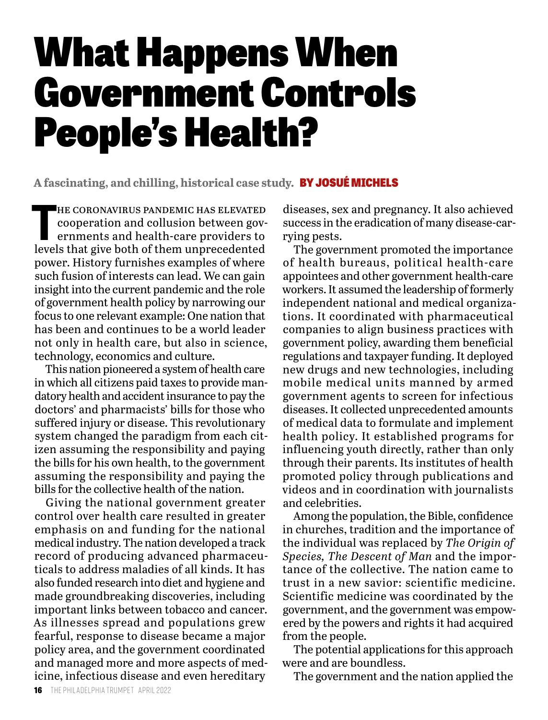### What Happens When Government Controls People's Health?

**A fascinating, and chilling, historical case study.** BY JOSUÉ MICHELS

THE CORONAVIRUS PANDEMIC HAS ELEVATED<br>
cooperation and collusion between gov-<br>
ernments and health-care providers to<br>
levels that give both of them unprecedented he coronavirus pandemic has elevated cooperation and collusion between governments and health-care providers to power. History furnishes examples of where such fusion of interests can lead. We can gain insight into the current pandemic and the role of government health policy by narrowing our focus to one relevant example: One nation that has been and continues to be a world leader not only in health care, but also in science, technology, economics and culture.

This nation pioneered a system of health care in which all citizens paid taxes to provide mandatory health and accident insurance to pay the doctors' and pharmacists' bills for those who suffered injury or disease. This revolutionary system changed the paradigm from each citizen assuming the responsibility and paying the bills for his own health, to the government assuming the responsibility and paying the bills for the collective health of the nation.

Giving the national government greater control over health care resulted in greater emphasis on and funding for the national medical industry. The nation developed a track record of producing advanced pharmaceuticals to address maladies of all kinds. It has also funded research into diet and hygiene and made groundbreaking discoveries, including important links between tobacco and cancer. As illnesses spread and populations grew fearful, response to disease became a major policy area, and the government coordinated and managed more and more aspects of medicine, infectious disease and even hereditary

diseases, sex and pregnancy. It also achieved success in the eradication of many disease-carrying pests.

The government promoted the importance of health bureaus, political health-care appointees and other government health-care workers. It assumed the leadership of formerly independent national and medical organizations. It coordinated with pharmaceutical companies to align business practices with government policy, awarding them beneficial regulations and taxpayer funding. It deployed new drugs and new technologies, including mobile medical units manned by armed government agents to screen for infectious diseases. It collected unprecedented amounts of medical data to formulate and implement health policy. It established programs for influencing youth directly, rather than only through their parents. Its institutes of health promoted policy through publications and videos and in coordination with journalists and celebrities.

Among the population, the Bible, confidence in churches, tradition and the importance of the individual was replaced by *The Origin of Species, The Descent of Man* and the importance of the collective. The nation came to trust in a new savior: scientific medicine. Scientific medicine was coordinated by the government, and the government was empowered by the powers and rights it had acquired from the people.

The potential applications for this approach were and are boundless.

The government and the nation applied the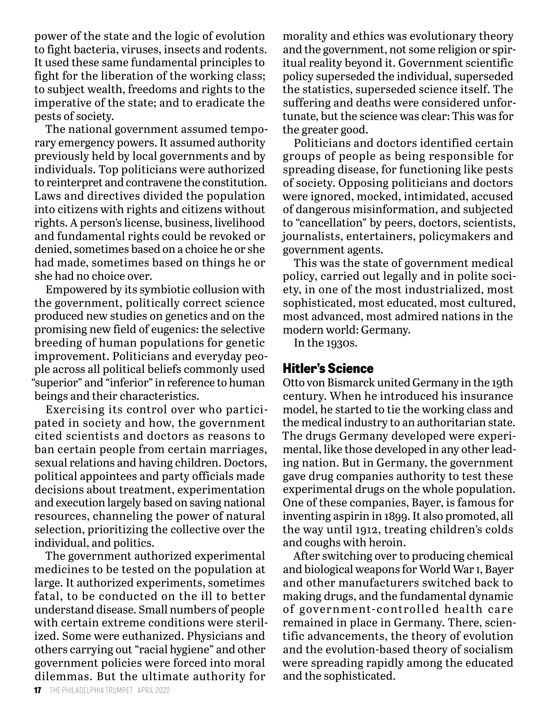power of the state and the logic of evolution to fight bacteria, viruses, insects and rodents. It used these same fundamental principles to fight for the liberation of the working class; to subject wealth, freedoms and rights to the imperative of the state; and to eradicate the pests of society.

The national government assumed temporary emergency powers. It assumed authority previously held by local governments and by individuals. Top politicians were authorized to reinterpret and contravene the constitution. Laws and directives divided the population into citizens with rights and citizens without rights. A person's license, business, livelihood and fundamental rights could be revoked or denied, sometimes based on a choice he or she had made, sometimes based on things he or she had no choice over.

Empowered by its symbiotic collusion with the government, politically correct science produced new studies on genetics and on the promising new field of eugenics: the selective breeding of human populations for genetic improvement. Politicians and everyday people across all political beliefs commonly used "superior" and "inferior" in reference to human beings and their characteristics.

Exercising its control over who participated in society and how, the government cited scientists and doctors as reasons to ban certain people from certain marriages, sexual relations and having children. Doctors, political appointees and party officials made decisions about treatment, experimentation and execution largely based on saving national resources, channeling the power of natural selection, prioritizing the collective over the individual, and politics.

The government authorized experimental medicines to be tested on the population at large. It authorized experiments, sometimes fatal, to be conducted on the ill to better understand disease. Small numbers of people with certain extreme conditions were sterilized. Some were euthanized. Physicians and others carrying out "racial hygiene" and other government policies were forced into moral dilemmas. But the ultimate authority for

morality and ethics was evolutionary theory and the government, not some religion or spiritual reality beyond it. Government scientific policy superseded the individual, superseded the statistics, superseded science itself. The suffering and deaths were considered unfortunate, but the science was clear: This was for the greater good.

Politicians and doctors identified certain groups of people as being responsible for spreading disease, for functioning like pests of society. Opposing politicians and doctors were ignored, mocked, intimidated, accused of dangerous misinformation, and subjected to "cancellation" by peers, doctors, scientists, journalists, entertainers, policymakers and government agents.

This was the state of government medical policy, carried out legally and in polite society, in one of the most industrialized, most sophisticated, most educated, most cultured, most advanced, most admired nations in the modern world: Germany.

In the 1930s.

#### **Hitler's Science**

Otto von Bismarck united Germany in the 19th century. When he introduced his insurance model, he started to tie the working class and the medical industry to an authoritarian state. The drugs Germany developed were experimental, like those developed in any other leading nation. But in Germany, the government gave drug companies authority to test these experimental drugs on the whole population. One of these companies, Bayer, is famous for inventing aspirin in 1899. It also promoted, all the way until 1912, treating children's colds and coughs with heroin.

After switching over to producing chemical and biological weapons for World War i, Bayer and other manufacturers switched back to making drugs, and the fundamental dynamic of government-controlled health care remained in place in Germany. There, scientific advancements, the theory of evolution and the evolution-based theory of socialism were spreading rapidly among the educated and the sophisticated.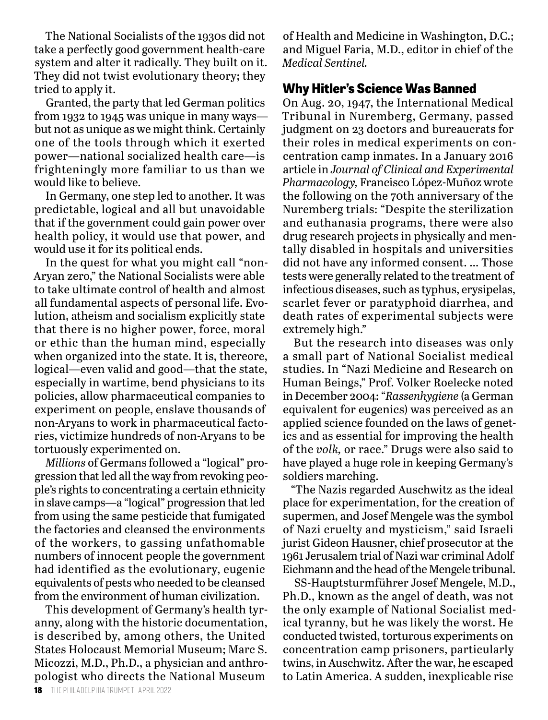The National Socialists of the 1930s did not take a perfectly good government health-care system and alter it radically. They built on it. They did not twist evolutionary theory; they tried to apply it.

Granted, the party that led German politics from 1932 to 1945 was unique in many ways but not as unique as we might think. Certainly one of the tools through which it exerted power—national socialized health care—is frighteningly more familiar to us than we would like to believe.

In Germany, one step led to another. It was predictable, logical and all but unavoidable that if the government could gain power over health policy, it would use that power, and would use it for its political ends.

In the quest for what you might call "non-Aryan zero," the National Socialists were able to take ultimate control of health and almost all fundamental aspects of personal life. Evolution, atheism and socialism explicitly state that there is no higher power, force, moral or ethic than the human mind, especially when organized into the state. It is, thereore, logical—even valid and good—that the state, especially in wartime, bend physicians to its policies, allow pharmaceutical companies to experiment on people, enslave thousands of non-Aryans to work in pharmaceutical factories, victimize hundreds of non-Aryans to be tortuously experimented on.

*Millions* of Germans followed a "logical" progression that led all the way from revoking people's rights to concentrating a certain ethnicity in slave camps—a "logical" progression that led from using the same pesticide that fumigated the factories and cleansed the environments of the workers, to gassing unfathomable numbers of innocent people the government had identified as the evolutionary, eugenic equivalents of pests who needed to be cleansed from the environment of human civilization.

This development of Germany's health tyranny, along with the historic documentation, is described by, among others, the United States Holocaust Memorial Museum; Marc S. Micozzi, M.D., Ph.D., a physician and anthropologist who directs the National Museum

of Health and Medicine in Washington, D.C.; and Miguel Faria, M.D., editor in chief of the *Medical Sentinel.*

#### **Why Hitler's Science Was Banned**

On Aug. 20, 1947, the International Medical Tribunal in Nuremberg, Germany, passed judgment on 23 doctors and bureaucrats for their roles in medical experiments on concentration camp inmates. In a January 2016 article in *Journal of Clinical and Experimental Pharmacology,* Francisco López-Muñoz wrote the following on the 70th anniversary of the Nuremberg trials: "Despite the sterilization and euthanasia programs, there were also drug research projects in physically and mentally disabled in hospitals and universities did not have any informed consent. … Those tests were generally related to the treatment of infectious diseases, such as typhus, erysipelas, scarlet fever or paratyphoid diarrhea, and death rates of experimental subjects were extremely high."

But the research into diseases was only a small part of National Socialist medical studies. In "Nazi Medicine and Research on Human Beings," Prof. Volker Roelecke noted in December 2004: "*Rassenhygiene* (a German equivalent for eugenics) was perceived as an applied science founded on the laws of genetics and as essential for improving the health of the *volk,* or race." Drugs were also said to have played a huge role in keeping Germany's soldiers marching.

"The Nazis regarded Auschwitz as the ideal place for experimentation, for the creation of supermen, and Josef Mengele was the symbol of Nazi cruelty and mysticism," said Israeli jurist Gideon Hausner, chief prosecutor at the 1961 Jerusalem trial of Nazi war criminal Adolf Eichmann and the head of the Mengele tribunal.

SS-Hauptsturmführer Josef Mengele, M.D., Ph.D., known as the angel of death, was not the only example of National Socialist medical tyranny, but he was likely the worst. He conducted twisted, torturous experiments on concentration camp prisoners, particularly twins, in Auschwitz. After the war, he escaped to Latin America. A sudden, inexplicable rise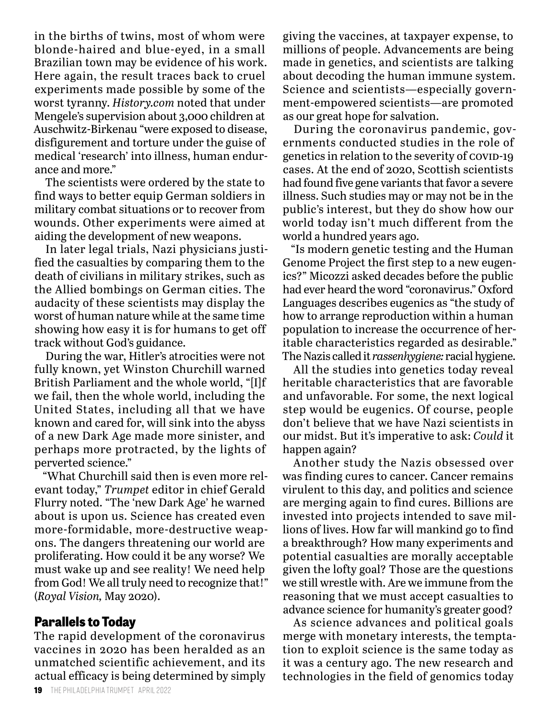in the births of twins, most of whom were blonde-haired and blue-eyed, in a small Brazilian town may be evidence of his work. Here again, the result traces back to cruel experiments made possible by some of the worst tyranny. *History.com* noted that under Mengele's supervision about 3,000 children at Auschwitz-Birkenau "were exposed to disease, disfigurement and torture under the guise of medical 'research' into illness, human endurance and more."

The scientists were ordered by the state to find ways to better equip German soldiers in military combat situations or to recover from wounds. Other experiments were aimed at aiding the development of new weapons.

In later legal trials, Nazi physicians justified the casualties by comparing them to the death of civilians in military strikes, such as the Allied bombings on German cities. The audacity of these scientists may display the worst of human nature while at the same time showing how easy it is for humans to get off track without God's guidance.

During the war, Hitler's atrocities were not fully known, yet Winston Churchill warned British Parliament and the whole world, "[I]f we fail, then the whole world, including the United States, including all that we have known and cared for, will sink into the abyss of a new Dark Age made more sinister, and perhaps more protracted, by the lights of perverted science."

"What Churchill said then is even more relevant today," *Trumpet* editor in chief Gerald Flurry noted. "The 'new Dark Age' he warned about is upon us. Science has created even more-formidable, more-destructive weapons. The dangers threatening our world are proliferating. How could it be any worse? We must wake up and see reality! We need help from God! We all truly need to recognize that!" (*Royal Vision,* May 2020).

#### **Parallels to Today**

The rapid development of the coronavirus vaccines in 2020 has been heralded as an unmatched scientific achievement, and its actual efficacy is being determined by simply

giving the vaccines, at taxpayer expense, to millions of people. Advancements are being made in genetics, and scientists are talking about decoding the human immune system. Science and scientists—especially government-empowered scientists—are promoted as our great hope for salvation.

During the coronavirus pandemic, governments conducted studies in the role of genetics in relation to the severity of COVID-19 cases. At the end of 2020, Scottish scientists had found five gene variants that favor a severe illness. Such studies may or may not be in the public's interest, but they do show how our world today isn't much different from the world a hundred years ago.

"Is modern genetic testing and the Human Genome Project the first step to a new eugenics?" Micozzi asked decades before the public had ever heard the word "coronavirus." Oxford Languages describes eugenics as "the study of how to arrange reproduction within a human population to increase the occurrence of heritable characteristics regarded as desirable." The Nazis called it *rassenhygiene:* racial hygiene.

All the studies into genetics today reveal heritable characteristics that are favorable and unfavorable. For some, the next logical step would be eugenics. Of course, people don't believe that we have Nazi scientists in our midst. But it's imperative to ask: *Could* it happen again?

Another study the Nazis obsessed over was finding cures to cancer. Cancer remains virulent to this day, and politics and science are merging again to find cures. Billions are invested into projects intended to save millions of lives. How far will mankind go to find a breakthrough? How many experiments and potential casualties are morally acceptable given the lofty goal? Those are the questions we still wrestle with. Are we immune from the reasoning that we must accept casualties to advance science for humanity's greater good?

As science advances and political goals merge with monetary interests, the temptation to exploit science is the same today as it was a century ago. The new research and technologies in the field of genomics today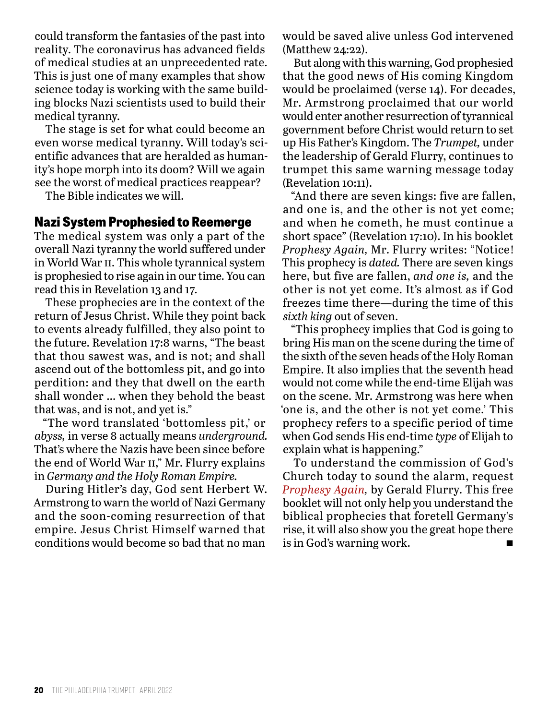could transform the fantasies of the past into reality. The coronavirus has advanced fields of medical studies at an unprecedented rate. This is just one of many examples that show science today is working with the same building blocks Nazi scientists used to build their medical tyranny.

The stage is set for what could become an even worse medical tyranny. Will today's scientific advances that are heralded as humanity's hope morph into its doom? Will we again see the worst of medical practices reappear?

The Bible indicates we will.

#### **Nazi System Prophesied to Reemerge**

The medical system was only a part of the overall Nazi tyranny the world suffered under in World War ii. This whole tyrannical system is prophesied to rise again in our time. You can read this in Revelation 13 and 17.

These prophecies are in the context of the return of Jesus Christ. While they point back to events already fulfilled, they also point to the future. Revelation 17:8 warns, "The beast that thou sawest was, and is not; and shall ascend out of the bottomless pit, and go into perdition: and they that dwell on the earth shall wonder … when they behold the beast that was, and is not, and yet is."

"The word translated 'bottomless pit,' or *abyss,* in verse 8 actually means *underground.*  That's where the Nazis have been since before the end of World War ii," Mr. Flurry explains in *Germany and the Holy Roman Empire.*

During Hitler's day, God sent Herbert W. Armstrong to warn the world of Nazi Germany and the soon-coming resurrection of that empire. Jesus Christ Himself warned that conditions would become so bad that no man

would be saved alive unless God intervened (Matthew 24:22).

But along with this warning, God prophesied that the good news of His coming Kingdom would be proclaimed (verse 14). For decades, Mr. Armstrong proclaimed that our world would enter another resurrection of tyrannical government before Christ would return to set up His Father's Kingdom. The *Trumpet,* under the leadership of Gerald Flurry, continues to trumpet this same warning message today (Revelation 10:11).

"And there are seven kings: five are fallen, and one is, and the other is not yet come; and when he cometh, he must continue a short space" (Revelation 17:10). In his booklet *Prophesy Again,* Mr. Flurry writes: "Notice! This prophecy is *dated.* There are seven kings here, but five are fallen, *and one is,* and the other is not yet come. It's almost as if God freezes time there—during the time of this *sixth king* out of seven.

"This prophecy implies that God is going to bring His man on the scene during the time of the sixth of the seven heads of the Holy Roman Empire. It also implies that the seventh head would not come while the end-time Elijah was on the scene. Mr. Armstrong was here when 'one is, and the other is not yet come.' This prophecy refers to a specific period of time when God sends His end-time *type* of Elijah to explain what is happening."

To understand the commission of God's Church today to sound the alarm, request *Prophesy Again,* by Gerald Flurry. This free booklet will not only help you understand the biblical prophecies that foretell Germany's rise, it will also show you the great hope there is in God's warning work.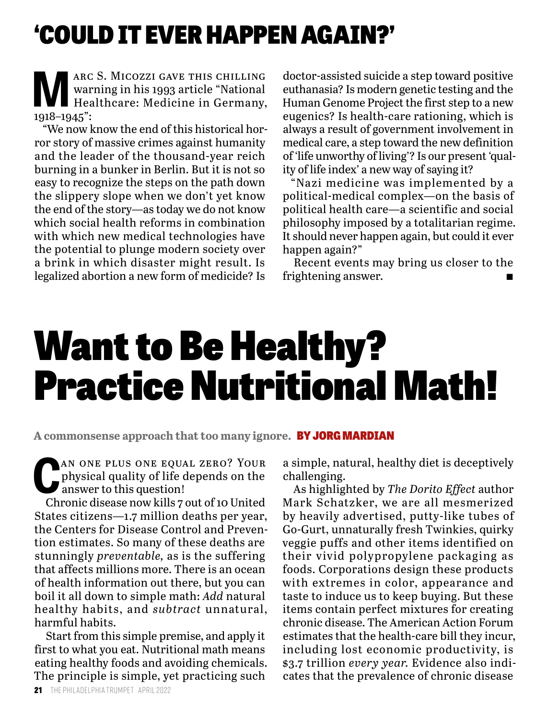### 'COULD IT EVER HAPPEN AGAIN?'

**MARC S. MICOZZI GAVE THIS CHILLING**<br>Warning in his 1993 article "National<br>Healthcare: Medicine in Germany, warning in his 1993 article "National Healthcare: Medicine in Germany, 1918–1945":

"We now know the end of this historical horror story of massive crimes against humanity and the leader of the thousand-year reich burning in a bunker in Berlin. But it is not so easy to recognize the steps on the path down the slippery slope when we don't yet know the end of the story—as today we do not know which social health reforms in combination with which new medical technologies have the potential to plunge modern society over a brink in which disaster might result. Is legalized abortion a new form of medicide? Is

doctor-assisted suicide a step toward positive euthanasia? Is modern genetic testing and the Human Genome Project the first step to a new eugenics? Is health-care rationing, which is always a result of government involvement in medical care, a step toward the new definition of 'life unworthy of living'? Is our present 'quality of life index' a new way of saying it?

"Nazi medicine was implemented by a political-medical complex—on the basis of political health care—a scientific and social philosophy imposed by a totalitarian regime. It should never happen again, but could it ever happen again?"

Recent events may bring us closer to the frightening answer.

### Want to Be Healthy? Practice Nutritional Math!

**A commonsense approach that too many ignore.** BY JORG MARDIAN

**CAN ONE PLUS ONE EQUAL ZERO? YOUR<br>physical quality of life depends on the<br>answer to this question!** physical quality of life depends on the answer to this question!

Chronic disease now kills 7 out of 10 United States citizens—1.7 million deaths per year, the Centers for Disease Control and Prevention estimates. So many of these deaths are stunningly *preventable,* as is the suffering that affects millions more. There is an ocean of health information out there, but you can boil it all down to simple math: *Add* natural healthy habits, and *subtract* unnatural, harmful habits.

Start from this simple premise, and apply it first to what you eat. Nutritional math means eating healthy foods and avoiding chemicals. The principle is simple, yet practicing such

a simple, natural, healthy diet is deceptively challenging.

As highlighted by *The Dorito Effect* author Mark Schatzker, we are all mesmerized by heavily advertised, putty-like tubes of Go-Gurt, unnaturally fresh Twinkies, quirky veggie puffs and other items identified on their vivid polypropylene packaging as foods. Corporations design these products with extremes in color, appearance and taste to induce us to keep buying. But these items contain perfect mixtures for creating chronic disease. The American Action Forum estimates that the health-care bill they incur, including lost economic productivity, is \$3.7 trillion *every year.* Evidence also indicates that the prevalence of chronic disease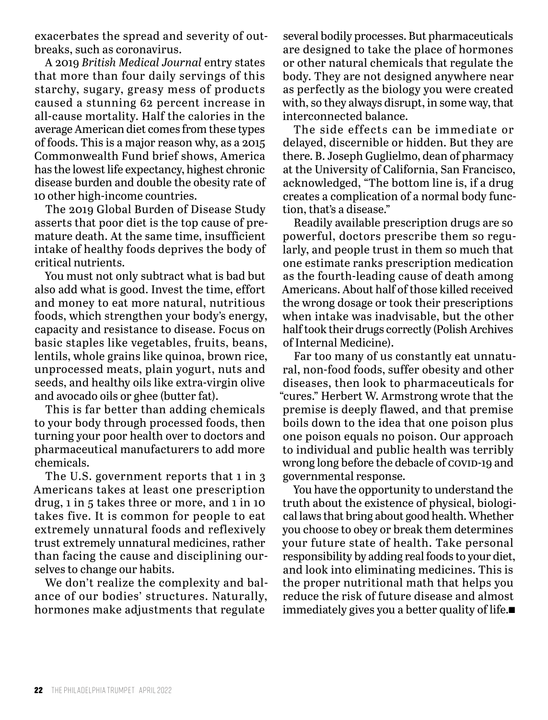exacerbates the spread and severity of outbreaks, such as coronavirus.

A 2019 *British Medical Journal* entry states that more than four daily servings of this starchy, sugary, greasy mess of products caused a stunning 62 percent increase in all-cause mortality. Half the calories in the average American diet comes from these types of foods. This is a major reason why, as a 2015 Commonwealth Fund brief shows, America has the lowest life expectancy, highest chronic disease burden and double the obesity rate of 10 other high-income countries.

The 2019 Global Burden of Disease Study asserts that poor diet is the top cause of premature death. At the same time, insufficient intake of healthy foods deprives the body of critical nutrients.

You must not only subtract what is bad but also add what is good. Invest the time, effort and money to eat more natural, nutritious foods, which strengthen your body's energy, capacity and resistance to disease. Focus on basic staples like vegetables, fruits, beans, lentils, whole grains like quinoa, brown rice, unprocessed meats, plain yogurt, nuts and seeds, and healthy oils like extra-virgin olive and avocado oils or ghee (butter fat).

This is far better than adding chemicals to your body through processed foods, then turning your poor health over to doctors and pharmaceutical manufacturers to add more chemicals.

The U.S. government reports that 1 in 3 Americans takes at least one prescription drug, 1 in 5 takes three or more, and 1 in 10 takes five. It is common for people to eat extremely unnatural foods and reflexively trust extremely unnatural medicines, rather than facing the cause and disciplining ourselves to change our habits.

We don't realize the complexity and balance of our bodies' structures. Naturally, hormones make adjustments that regulate

several bodily processes. But pharmaceuticals are designed to take the place of hormones or other natural chemicals that regulate the body. They are not designed anywhere near as perfectly as the biology you were created with, so they always disrupt, in some way, that interconnected balance.

The side effects can be immediate or delayed, discernible or hidden. But they are there. B. Joseph Guglielmo, dean of pharmacy at the University of California, San Francisco, acknowledged, "The bottom line is, if a drug creates a complication of a normal body function, that's a disease."

Readily available prescription drugs are so powerful, doctors prescribe them so regularly, and people trust in them so much that one estimate ranks prescription medication as the fourth-leading cause of death among Americans. About half of those killed received the wrong dosage or took their prescriptions when intake was inadvisable, but the other half took their drugs correctly (Polish Archives of Internal Medicine).

Far too many of us constantly eat unnatural, non-food foods, suffer obesity and other diseases, then look to pharmaceuticals for "cures." Herbert W. Armstrong wrote that the premise is deeply flawed, and that premise boils down to the idea that one poison plus one poison equals no poison. Our approach to individual and public health was terribly wrong long before the debacle of COVID-19 and governmental response.

You have the opportunity to understand the truth about the existence of physical, biological laws that bring about good health. Whether you choose to obey or break them determines your future state of health. Take personal responsibility by adding real foods to your diet, and look into eliminating medicines. This is the proper nutritional math that helps you reduce the risk of future disease and almost immediately gives you a better quality of life. $\blacksquare$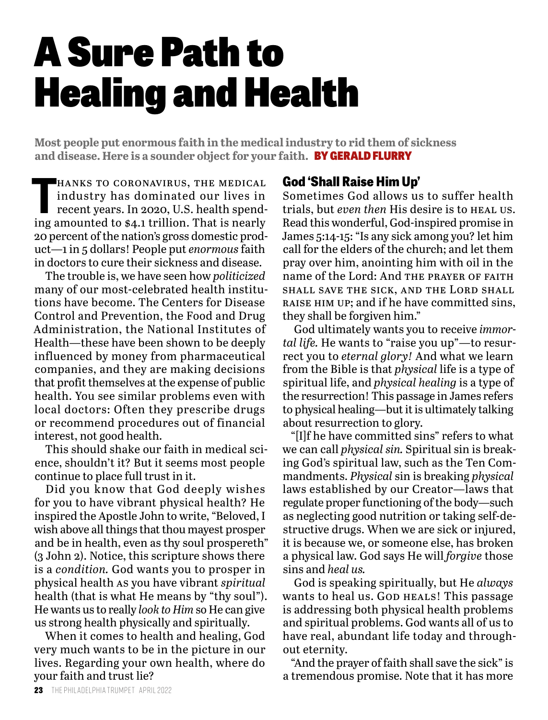## A Sure Path to Healing and Health

**Most people put enormous faith in the medical industry to rid them of sickness and disease. Here is a sounder object for your faith.** BY GERALD FLURRY

HANKS TO CORONAVIRUS, THE MEDICAL<br>
industry has dominated our lives in<br>
recent years. In 2020, U.S. health spend-<br>
ing amounted to \$4.1 trillion. That is nearly hanks to coronavirus, the medical industry has dominated our lives in recent years. In 2020, U.S. health spend-20 percent of the nation's gross domestic product—1 in 5 dollars! People put *enormous* faith in doctors to cure their sickness and disease.

The trouble is, we have seen how *politicized* many of our most-celebrated health institutions have become. The Centers for Disease Control and Prevention, the Food and Drug Administration, the National Institutes of Health—these have been shown to be deeply influenced by money from pharmaceutical companies, and they are making decisions that profit themselves at the expense of public health. You see similar problems even with local doctors: Often they prescribe drugs or recommend procedures out of financial interest, not good health.

This should shake our faith in medical science, shouldn't it? But it seems most people continue to place full trust in it.

Did you know that God deeply wishes for you to have vibrant physical health? He inspired the Apostle John to write, "Beloved, I wish above all things that thou mayest prosper and be in health, even as thy soul prospereth" (3 John 2). Notice, this scripture shows there is a *condition.* God wants you to prosper in physical health as you have vibrant *spiritual* health (that is what He means by "thy soul"). He wants us to really *look to Him* so He can give us strong health physically and spiritually.

When it comes to health and healing, God very much wants to be in the picture in our lives. Regarding your own health, where do your faith and trust lie?

#### **God 'Shall Raise Him Up'**

Sometimes God allows us to suffer health trials, but *even then* His desire is to heal us. Read this wonderful, God-inspired promise in James 5:14-15: "Is any sick among you? let him call for the elders of the church; and let them pray over him, anointing him with oil in the name of the Lord: And the prayer of faith shall save the sick, and the Lord shall raise him up; and if he have committed sins, they shall be forgiven him."

God ultimately wants you to receive *immortal life.* He wants to "raise you up"—to resurrect you to *eternal glory!* And what we learn from the Bible is that *physical* life is a type of spiritual life, and *physical healing* is a type of the resurrection! This passage in James refers to physical healing—but it is ultimately talking about resurrection to glory.

"[I]f he have committed sins" refers to what we can call *physical sin.* Spiritual sin is breaking God's spiritual law, such as the Ten Commandments. *Physical* sin is breaking *physical* laws established by our Creator—laws that regulate proper functioning of the body—such as neglecting good nutrition or taking self-destructive drugs. When we are sick or injured, it is because we, or someone else, has broken a physical law. God says He will *forgive* those sins and *heal us.*

God is speaking spiritually, but He *always* wants to heal us. GOD HEALS! This passage is addressing both physical health problems and spiritual problems. God wants all of us to have real, abundant life today and throughout eternity.

"And the prayer of faith shall save the sick" is a tremendous promise. Note that it has more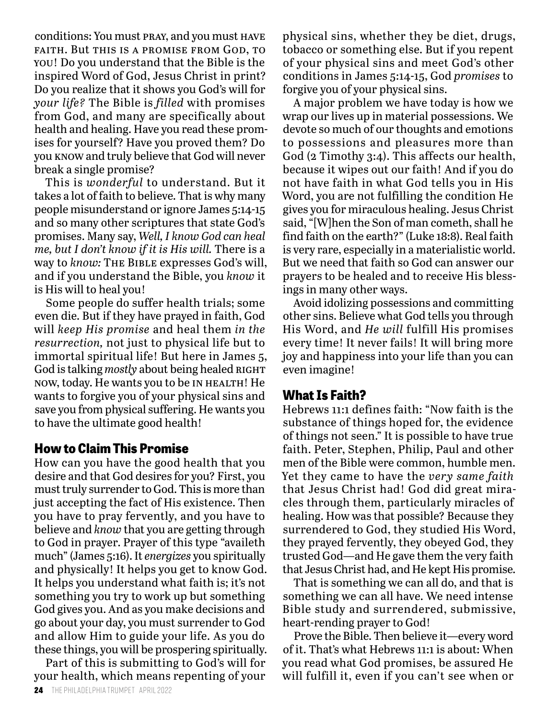conditions: You must pray, and you must have faith. But this is a promise from God, to you! Do you understand that the Bible is the inspired Word of God, Jesus Christ in print? Do you realize that it shows you God's will for *your life?* The Bible is *filled* with promises from God, and many are specifically about health and healing. Have you read these promises for yourself? Have you proved them? Do you know and truly believe that God will never break a single promise?

This is *wonderful* to understand. But it takes a lot of faith to believe. That is why many people misunderstand or ignore James 5:14-15 and so many other scriptures that state God's promises. Many say, *Well, I know God can heal me, but I don't know if it is His will.* There is a way to *know:* The Bible expresses God's will, and if you understand the Bible, you *know* it is His will to heal you!

Some people do suffer health trials; some even die. But if they have prayed in faith, God will *keep His promise* and heal them *in the resurrection,* not just to physical life but to immortal spiritual life! But here in James 5, God is talking *mostly* about being healed RIGHT now, today. He wants you to be in health! He wants to forgive you of your physical sins and save you from physical suffering. He wants you to have the ultimate good health!

#### **How to Claim This Promise**

How can you have the good health that you desire and that God desires for you? First, you must truly surrender to God. This is more than just accepting the fact of His existence. Then you have to pray fervently, and you have to believe and *know* that you are getting through to God in prayer. Prayer of this type "availeth much" (James 5:16). It *energizes* you spiritually and physically! It helps you get to know God. It helps you understand what faith is; it's not something you try to work up but something God gives you. And as you make decisions and go about your day, you must surrender to God and allow Him to guide your life. As you do these things, you will be prospering spiritually.

Part of this is submitting to God's will for your health, which means repenting of your physical sins, whether they be diet, drugs, tobacco or something else. But if you repent of your physical sins and meet God's other conditions in James 5:14-15, God *promises* to forgive you of your physical sins.

A major problem we have today is how we wrap our lives up in material possessions. We devote so much of our thoughts and emotions to possessions and pleasures more than God (2 Timothy 3:4). This affects our health, because it wipes out our faith! And if you do not have faith in what God tells you in His Word, you are not fulfilling the condition He gives you for miraculous healing. Jesus Christ said, "[W]hen the Son of man cometh, shall he find faith on the earth?" (Luke 18:8). Real faith is very rare, especially in a materialistic world. But we need that faith so God can answer our prayers to be healed and to receive His blessings in many other ways.

Avoid idolizing possessions and committing other sins. Believe what God tells you through His Word, and *He will* fulfill His promises every time! It never fails! It will bring more joy and happiness into your life than you can even imagine!

#### **What Is Faith?**

Hebrews 11:1 defines faith: "Now faith is the substance of things hoped for, the evidence of things not seen." It is possible to have true faith. Peter, Stephen, Philip, Paul and other men of the Bible were common, humble men. Yet they came to have the *very same faith* that Jesus Christ had! God did great miracles through them, particularly miracles of healing. How was that possible? Because they surrendered to God, they studied His Word, they prayed fervently, they obeyed God, they trusted God—and He gave them the very faith that Jesus Christ had, and He kept His promise.

That is something we can all do, and that is something we can all have. We need intense Bible study and surrendered, submissive, heart-rending prayer to God!

Prove the Bible. Then believe it—every word of it. That's what Hebrews 11:1 is about: When you read what God promises, be assured He will fulfill it, even if you can't see when or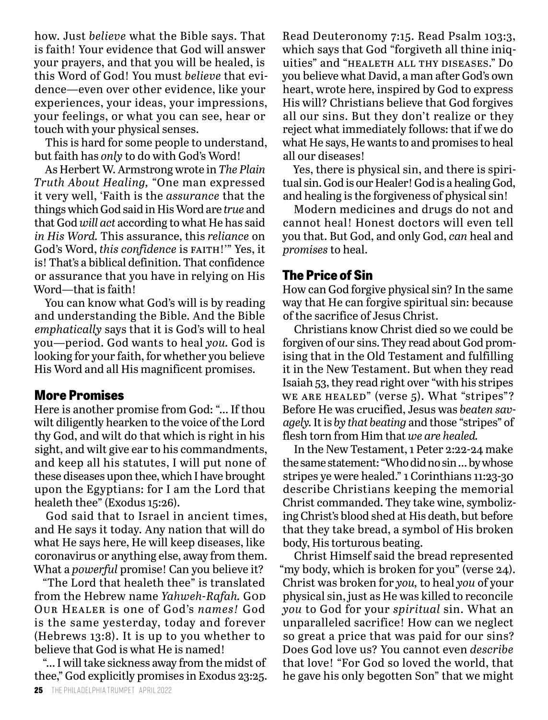how. Just *believe* what the Bible says. That is faith! Your evidence that God will answer your prayers, and that you will be healed, is this Word of God! You must *believe* that evidence—even over other evidence, like your experiences, your ideas, your impressions, your feelings, or what you can see, hear or touch with your physical senses.

This is hard for some people to understand, but faith has *only* to do with God's Word!

As Herbert W. Armstrong wrote in *The Plain Truth About Healing,* "One man expressed it very well, 'Faith is the *assurance* that the things which God said in His Word are *true* and that God *will act* according to what He has said *in His Word.* This assurance, this *reliance* on God's Word, this confidence is FAITH!" Yes, it is! That's a biblical definition. That confidence or assurance that you have in relying on His Word—that is faith!

You can know what God's will is by reading and understanding the Bible. And the Bible *emphatically* says that it is God's will to heal you—period. God wants to heal *you.* God is looking for your faith, for whether you believe His Word and all His magnificent promises.

#### **More Promises**

Here is another promise from God: "… If thou wilt diligently hearken to the voice of the Lord thy God, and wilt do that which is right in his sight, and wilt give ear to his commandments, and keep all his statutes, I will put none of these diseases upon thee, which I have brought upon the Egyptians: for I am the Lord that healeth thee" (Exodus 15:26).

God said that to Israel in ancient times, and He says it today. Any nation that will do what He says here, He will keep diseases, like coronavirus or anything else, away from them. What a *powerful* promise! Can you believe it?

"The Lord that healeth thee" is translated from the Hebrew name *Yahweh-Rafah*. God Our Healer is one of God's *names!* God is the same yesterday, today and forever (Hebrews 13:8). It is up to you whether to believe that God is what He is named!

"… I will take sickness away from the midst of thee," God explicitly promises in Exodus 23:25. Read Deuteronomy 7:15. Read Psalm 103:3, which says that God "forgiveth all thine iniquities" and "healeth all thy diseases." Do you believe what David, a man after God's own heart, wrote here, inspired by God to express His will? Christians believe that God forgives all our sins. But they don't realize or they reject what immediately follows: that if we do what He says, He wants to and promises to heal all our diseases!

Yes, there is physical sin, and there is spiritual sin. God is our Healer! God is a healing God, and healing is the forgiveness of physical sin!

Modern medicines and drugs do not and cannot heal! Honest doctors will even tell you that. But God, and only God, *can* heal and *promises* to heal.

#### **The Price of Sin**

How can God forgive physical sin? In the same way that He can forgive spiritual sin: because of the sacrifice of Jesus Christ.

Christians know Christ died so we could be forgiven of our sins. They read about God promising that in the Old Testament and fulfilling it in the New Testament. But when they read Isaiah 53, they read right over "with his stripes WE ARE HEALED" (verse 5). What "stripes"? Before He was crucified, Jesus was *beaten savagely.* It is *by that beating* and those "stripes" of flesh torn from Him that *we are healed.*

In the New Testament, 1 Peter 2:22-24 make the same statement: "Who did no sin … by whose stripes ye were healed." 1 Corinthians 11:23-30 describe Christians keeping the memorial Christ commanded. They take wine, symbolizing Christ's blood shed at His death, but before that they take bread, a symbol of His broken body, His torturous beating.

Christ Himself said the bread represented "my body, which is broken for you" (verse 24). Christ was broken for *you,* to heal *you* of your physical sin, just as He was killed to reconcile *you* to God for your *spiritual* sin. What an unparalleled sacrifice! How can we neglect so great a price that was paid for our sins? Does God love us? You cannot even *describe*  that love! "For God so loved the world, that he gave his only begotten Son" that we might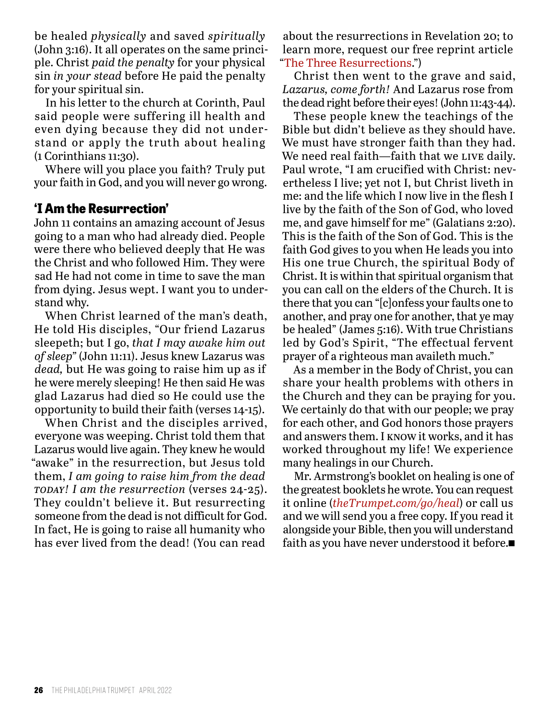be healed *physically* and saved *spiritually* (John 3:16). It all operates on the same principle. Christ *paid the penalty* for your physical sin *in your stead* before He paid the penalty for your spiritual sin.

In his letter to the church at Corinth, Paul said people were suffering ill health and even dying because they did not understand or apply the truth about healing (1 Corinthians 11:30).

Where will you place you faith? Truly put your faith in God, and you will never go wrong.

#### **'I Am the Resurrection'**

John 11 contains an amazing account of Jesus going to a man who had already died. People were there who believed deeply that He was the Christ and who followed Him. They were sad He had not come in time to save the man from dying. Jesus wept. I want you to understand why.

When Christ learned of the man's death, He told His disciples, "Our friend Lazarus sleepeth; but I go, *that I may awake him out of sleep"* (John 11:11). Jesus knew Lazarus was *dead,* but He was going to raise him up as if he were merely sleeping! He then said He was glad Lazarus had died so He could use the opportunity to build their faith (verses 14-15).

When Christ and the disciples arrived, everyone was weeping. Christ told them that Lazarus would live again. They knew he would "awake" in the resurrection, but Jesus told them, *I am going to raise him from the dead today! I am the resurrection* (verses 24-25). They couldn't believe it. But resurrecting someone from the dead is not difficult for God. In fact, He is going to raise all humanity who has ever lived from the dead! (You can read

about the resurrections in Revelation 20; to learn more, request our free reprint article "The Three Resurrections.")

Christ then went to the grave and said, *Lazarus, come forth!* And Lazarus rose from the dead right before their eyes! (John 11:43-44).

These people knew the teachings of the Bible but didn't believe as they should have. We must have stronger faith than they had. We need real faith—faith that we LIVE daily. Paul wrote, "I am crucified with Christ: nevertheless I live; yet not I, but Christ liveth in me: and the life which I now live in the flesh I live by the faith of the Son of God, who loved me, and gave himself for me" (Galatians 2:20). This is the faith of the Son of God. This is the faith God gives to you when He leads you into His one true Church, the spiritual Body of Christ. It is within that spiritual organism that you can call on the elders of the Church. It is there that you can "[c]onfess your faults one to another, and pray one for another, that ye may be healed" (James 5:16). With true Christians led by God's Spirit, "The effectual fervent prayer of a righteous man availeth much."

As a member in the Body of Christ, you can share your health problems with others in the Church and they can be praying for you. We certainly do that with our people; we pray for each other, and God honors those prayers and answers them. I know it works, and it has worked throughout my life! We experience many healings in our Church.

Mr. Armstrong's booklet on healing is one of the greatest booklets he wrote. You can request it online (*theTrumpet.com/go/heal*) or call us and we will send you a free copy. If you read it alongside your Bible, then you will understand faith as you have never understood it before. $\blacksquare$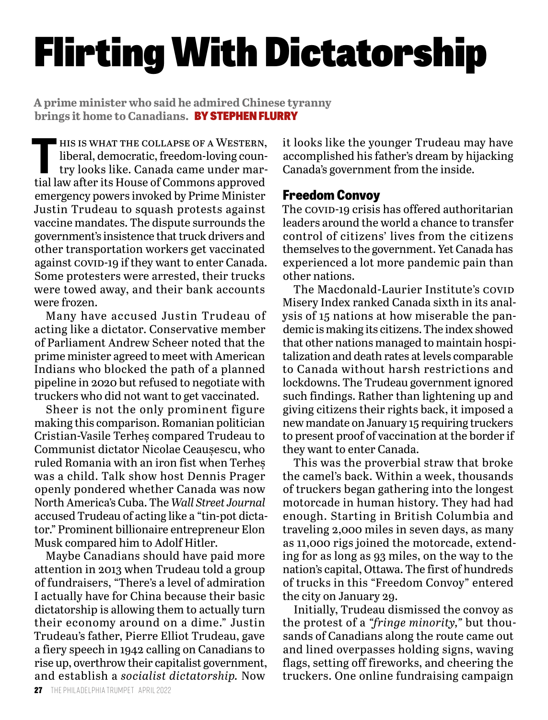# Flirting With Dictatorship

**A prime minister who said he admired Chinese tyranny brings it home to Canadians.** BY STEPHEN FLURRY

THE STAT THE COLLAPSE OF A WESTERN,<br>
liberal, democratic, freedom-loving coun-<br>
try looks like. Canada came under mar-<br>
tial law often its House of Commons annual liberal, democratic, freedom-loving country looks like. Canada came under martial law after its House of Commons approved emergency powers invoked by Prime Minister Justin Trudeau to squash protests against vaccine mandates. The dispute surrounds the government's insistence that truck drivers and other transportation workers get vaccinated against covip-19 if they want to enter Canada. Some protesters were arrested, their trucks were towed away, and their bank accounts were frozen.

Many have accused Justin Trudeau of acting like a dictator. Conservative member of Parliament Andrew Scheer noted that the prime minister agreed to meet with American Indians who blocked the path of a planned pipeline in 2020 but refused to negotiate with truckers who did not want to get vaccinated.

Sheer is not the only prominent figure making this comparison. Romanian politician Cristian-Vasile Terheș compared Trudeau to Communist dictator Nicolae Ceaușescu, who ruled Romania with an iron fist when Terheș was a child. Talk show host Dennis Prager openly pondered whether Canada was now North America's Cuba. The *Wall Street Journal*  accused Trudeau of acting like a "tin-pot dictator." Prominent billionaire entrepreneur Elon Musk compared him to Adolf Hitler.

Maybe Canadians should have paid more attention in 2013 when Trudeau told a group of fundraisers, "There's a level of admiration I actually have for China because their basic dictatorship is allowing them to actually turn their economy around on a dime." Justin Trudeau's father, Pierre Elliot Trudeau, gave a fiery speech in 1942 calling on Canadians to rise up, overthrow their capitalist government, and establish a *socialist dictatorship.* Now

it looks like the younger Trudeau may have accomplished his father's dream by hijacking Canada's government from the inside.

#### **Freedom Convoy**

The covip-19 crisis has offered authoritarian leaders around the world a chance to transfer control of citizens' lives from the citizens themselves to the government. Yet Canada has experienced a lot more pandemic pain than other nations.

The Macdonald-Laurier Institute's COVID Misery Index ranked Canada sixth in its analysis of 15 nations at how miserable the pandemic is making its citizens. The index showed that other nations managed to maintain hospitalization and death rates at levels comparable to Canada without harsh restrictions and lockdowns. The Trudeau government ignored such findings. Rather than lightening up and giving citizens their rights back, it imposed a new mandate on January 15 requiring truckers to present proof of vaccination at the border if they want to enter Canada.

This was the proverbial straw that broke the camel's back. Within a week, thousands of truckers began gathering into the longest motorcade in human history. They had had enough. Starting in British Columbia and traveling 2,000 miles in seven days, as many as 11,000 rigs joined the motorcade, extending for as long as 93 miles, on the way to the nation's capital, Ottawa. The first of hundreds of trucks in this "Freedom Convoy" entered the city on January 29.

Initially, Trudeau dismissed the convoy as the protest of a *"fringe minority,"* but thousands of Canadians along the route came out and lined overpasses holding signs, waving flags, setting off fireworks, and cheering the truckers. One online fundraising campaign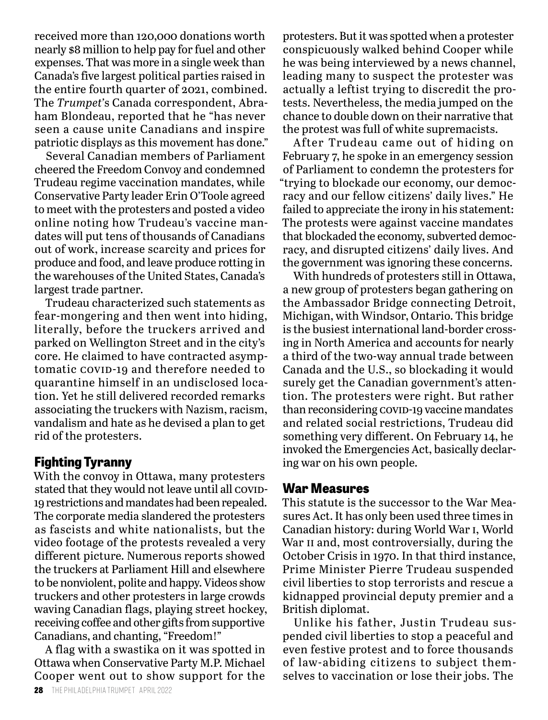received more than 120,000 donations worth nearly \$8 million to help pay for fuel and other expenses. That was more in a single week than Canada's five largest political parties raised in the entire fourth quarter of 2021, combined. The *Trumpet'*s Canada correspondent, Abraham Blondeau, reported that he "has never seen a cause unite Canadians and inspire patriotic displays as this movement has done."

Several Canadian members of Parliament cheered the Freedom Convoy and condemned Trudeau regime vaccination mandates, while Conservative Party leader Erin O'Toole agreed to meet with the protesters and posted a video online noting how Trudeau's vaccine mandates will put tens of thousands of Canadians out of work, increase scarcity and prices for produce and food, and leave produce rotting in the warehouses of the United States, Canada's largest trade partner.

Trudeau characterized such statements as fear-mongering and then went into hiding, literally, before the truckers arrived and parked on Wellington Street and in the city's core. He claimed to have contracted asymptomatic COVID-19 and therefore needed to quarantine himself in an undisclosed location. Yet he still delivered recorded remarks associating the truckers with Nazism, racism, vandalism and hate as he devised a plan to get rid of the protesters.

#### **Fighting Tyranny**

With the convoy in Ottawa, many protesters stated that they would not leave until all COVID-19 restrictions and mandates had been repealed. The corporate media slandered the protesters as fascists and white nationalists, but the video footage of the protests revealed a very different picture. Numerous reports showed the truckers at Parliament Hill and elsewhere to be nonviolent, polite and happy. Videos show truckers and other protesters in large crowds waving Canadian flags, playing street hockey, receiving coffee and other gifts from supportive Canadians, and chanting, "Freedom!"

A flag with a swastika on it was spotted in Ottawa when Conservative Party M.P. Michael Cooper went out to show support for the

protesters. But it was spotted when a protester conspicuously walked behind Cooper while he was being interviewed by a news channel, leading many to suspect the protester was actually a leftist trying to discredit the protests. Nevertheless, the media jumped on the chance to double down on their narrative that the protest was full of white supremacists.

After Trudeau came out of hiding on February 7, he spoke in an emergency session of Parliament to condemn the protesters for "trying to blockade our economy, our democracy and our fellow citizens' daily lives." He failed to appreciate the irony in his statement: The protests were against vaccine mandates that blockaded the economy, subverted democracy, and disrupted citizens' daily lives. And the government was ignoring these concerns.

With hundreds of protesters still in Ottawa, a new group of protesters began gathering on the Ambassador Bridge connecting Detroit, Michigan, with Windsor, Ontario. This bridge is the busiest international land-border crossing in North America and accounts for nearly a third of the two-way annual trade between Canada and the U.S., so blockading it would surely get the Canadian government's attention. The protesters were right. But rather than reconsidering covid-19 vaccine mandates and related social restrictions, Trudeau did something very different. On February 14, he invoked the Emergencies Act, basically declaring war on his own people.

#### **War Measures**

This statute is the successor to the War Measures Act. It has only been used three times in Canadian history: during World War i, World War II and, most controversially, during the October Crisis in 1970. In that third instance, Prime Minister Pierre Trudeau suspended civil liberties to stop terrorists and rescue a kidnapped provincial deputy premier and a British diplomat.

Unlike his father, Justin Trudeau suspended civil liberties to stop a peaceful and even festive protest and to force thousands of law-abiding citizens to subject themselves to vaccination or lose their jobs. The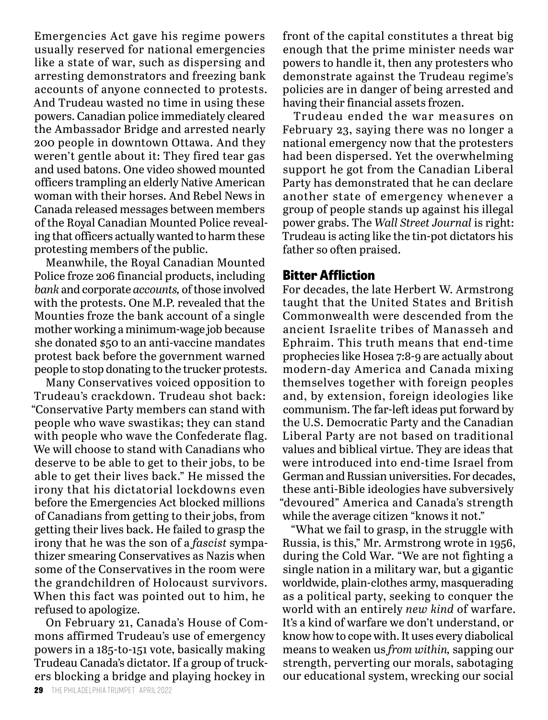Emergencies Act gave his regime powers usually reserved for national emergencies like a state of war, such as dispersing and arresting demonstrators and freezing bank accounts of anyone connected to protests. And Trudeau wasted no time in using these powers. Canadian police immediately cleared the Ambassador Bridge and arrested nearly 200 people in downtown Ottawa. And they weren't gentle about it: They fired tear gas and used batons. One video showed mounted officers trampling an elderly Native American woman with their horses. And Rebel News in Canada released messages between members of the Royal Canadian Mounted Police revealing that officers actually wanted to harm these protesting members of the public.

Meanwhile, the Royal Canadian Mounted Police froze 206 financial products, including *bank* and corporate *accounts,* of those involved with the protests. One M.P. revealed that the Mounties froze the bank account of a single mother working a minimum-wage job because she donated \$50 to an anti-vaccine mandates protest back before the government warned people to stop donating to the trucker protests.

Many Conservatives voiced opposition to Trudeau's crackdown. Trudeau shot back: "Conservative Party members can stand with people who wave swastikas; they can stand with people who wave the Confederate flag. We will choose to stand with Canadians who deserve to be able to get to their jobs, to be able to get their lives back." He missed the irony that his dictatorial lockdowns even before the Emergencies Act blocked millions of Canadians from getting to their jobs, from getting their lives back. He failed to grasp the irony that he was the son of a *fascist* sympathizer smearing Conservatives as Nazis when some of the Conservatives in the room were the grandchildren of Holocaust survivors. When this fact was pointed out to him, he refused to apologize.

On February 21, Canada's House of Commons affirmed Trudeau's use of emergency powers in a 185-to-151 vote, basically making Trudeau Canada's dictator. If a group of truckers blocking a bridge and playing hockey in

front of the capital constitutes a threat big enough that the prime minister needs war powers to handle it, then any protesters who demonstrate against the Trudeau regime's policies are in danger of being arrested and having their financial assets frozen.

Trudeau ended the war measures on February 23, saying there was no longer a national emergency now that the protesters had been dispersed. Yet the overwhelming support he got from the Canadian Liberal Party has demonstrated that he can declare another state of emergency whenever a group of people stands up against his illegal power grabs. The *Wall Street Journal* is right: Trudeau is acting like the tin-pot dictators his father so often praised.

#### **Bitter Affliction**

For decades, the late Herbert W. Armstrong taught that the United States and British Commonwealth were descended from the ancient Israelite tribes of Manasseh and Ephraim. This truth means that end-time prophecies like Hosea 7:8-9 are actually about modern-day America and Canada mixing themselves together with foreign peoples and, by extension, foreign ideologies like communism. The far-left ideas put forward by the U.S. Democratic Party and the Canadian Liberal Party are not based on traditional values and biblical virtue. They are ideas that were introduced into end-time Israel from German and Russian universities. For decades, these anti-Bible ideologies have subversively "devoured" America and Canada's strength while the average citizen "knows it not."

"What we fail to grasp, in the struggle with Russia, is this," Mr. Armstrong wrote in 1956, during the Cold War. "We are not fighting a single nation in a military war, but a gigantic worldwide, plain*-*clothes army, masquerading as a political party, seeking to conquer the world with an entirely *new kind* of warfare. It's a kind of warfare we don't understand, or know how to cope with. It uses every diabolical means to weaken us *from within,* sapping our strength, perverting our morals, sabotaging our educational system, wrecking our social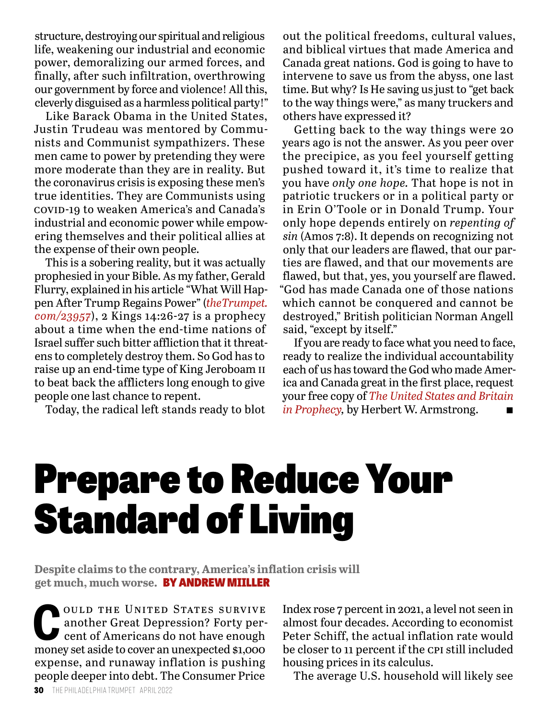structure, destroying our spiritual and religious life, weakening our industrial and economic power, demoralizing our armed forces, and finally, after such infiltration, overthrowing our government by force and violence! All this, cleverly disguised as a harmless political party!"

Like Barack Obama in the United States, Justin Trudeau was mentored by Communists and Communist sympathizers. These men came to power by pretending they were more moderate than they are in reality. But the coronavirus crisis is exposing these men's true identities. They are Communists using covid-19 to weaken America's and Canada's industrial and economic power while empowering themselves and their political allies at the expense of their own people.

This is a sobering reality, but it was actually prophesied in your Bible. As my father, Gerald Flurry, explained in his article "What Will Happen After Trump Regains Power" (*theTrumpet. com/23957*), 2 Kings 14:26-27 is a prophecy about a time when the end-time nations of Israel suffer such bitter affliction that it threatens to completely destroy them. So God has to raise up an end-time type of King Jeroboam ii to beat back the afflicters long enough to give people one last chance to repent.

Today, the radical left stands ready to blot

out the political freedoms, cultural values, and biblical virtues that made America and Canada great nations. God is going to have to intervene to save us from the abyss, one last time. But why? Is He saving us just to "get back to the way things were," as many truckers and others have expressed it?

Getting back to the way things were 20 years ago is not the answer. As you peer over the precipice, as you feel yourself getting pushed toward it, it's time to realize that you have *only one hope.* That hope is not in patriotic truckers or in a political party or in Erin O'Toole or in Donald Trump. Your only hope depends entirely on *repenting of sin* (Amos 7:8). It depends on recognizing not only that our leaders are flawed, that our parties are flawed, and that our movements are flawed, but that, yes, you yourself are flawed. "God has made Canada one of those nations which cannot be conquered and cannot be destroyed," British politician Norman Angell said, "except by itself."

If you are ready to face what you need to face, ready to realize the individual accountability each of us has toward the God who made America and Canada great in the first place, request your free copy of *The United States and Britain in Prophecy, by Herbert W. Armstrong.* 

## Prepare to Reduce Your Standard of Living

**Despite claims to the contrary, America's inflation crisis will get much, much worse.** BY ANDREW MIILLER

**COULD THE UNITED STATES SURVIVE**<br>
another Great Depression? Forty per-<br>
cent of Americans do not have enough<br>
monou set seidate equation unovaeted \$1,000 another Great Depression? Forty permoney set aside to cover an unexpected \$1,000 expense, and runaway inflation is pushing people deeper into debt. The Consumer Price

Index rose 7 percent in 2021, a level not seen in almost four decades. According to economist Peter Schiff, the actual inflation rate would be closer to 11 percent if the cpi still included housing prices in its calculus.

The average U.S. household will likely see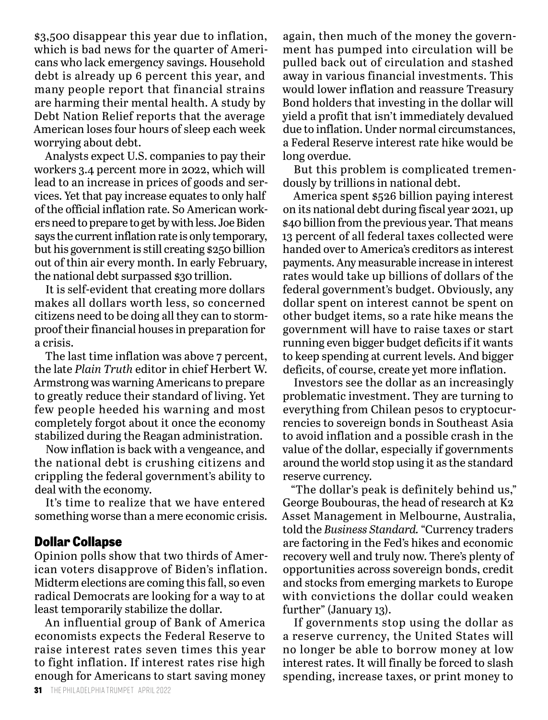\$3,500 disappear this year due to inflation, which is bad news for the quarter of Americans who lack emergency savings. Household debt is already up 6 percent this year, and many people report that financial strains are harming their mental health. A study by Debt Nation Relief reports that the average American loses four hours of sleep each week worrying about debt.

Analysts expect U.S. companies to pay their workers 3.4 percent more in 2022, which will lead to an increase in prices of goods and services. Yet that pay increase equates to only half of the official inflation rate. So American workers need to prepare to get by with less. Joe Biden says the current inflation rate is only temporary, but his government is still creating \$250 billion out of thin air every month. In early February, the national debt surpassed \$30 trillion.

It is self-evident that creating more dollars makes all dollars worth less, so concerned citizens need to be doing all they can to stormproof their financial houses in preparation for a crisis.

The last time inflation was above 7 percent, the late *Plain Truth* editor in chief Herbert W. Armstrong was warning Americans to prepare to greatly reduce their standard of living. Yet few people heeded his warning and most completely forgot about it once the economy stabilized during the Reagan administration.

Now inflation is back with a vengeance, and the national debt is crushing citizens and crippling the federal government's ability to deal with the economy.

It's time to realize that we have entered something worse than a mere economic crisis.

#### **Dollar Collapse**

Opinion polls show that two thirds of American voters disapprove of Biden's inflation. Midterm elections are coming this fall, so even radical Democrats are looking for a way to at least temporarily stabilize the dollar.

An influential group of Bank of America economists expects the Federal Reserve to raise interest rates seven times this year to fight inflation. If interest rates rise high enough for Americans to start saving money

again, then much of the money the government has pumped into circulation will be pulled back out of circulation and stashed away in various financial investments. This would lower inflation and reassure Treasury Bond holders that investing in the dollar will yield a profit that isn't immediately devalued due to inflation. Under normal circumstances, a Federal Reserve interest rate hike would be long overdue.

But this problem is complicated tremendously by trillions in national debt.

America spent \$526 billion paying interest on its national debt during fiscal year 2021, up \$40 billion from the previous year. That means 13 percent of all federal taxes collected were handed over to America's creditors as interest payments. Any measurable increase in interest rates would take up billions of dollars of the federal government's budget. Obviously, any dollar spent on interest cannot be spent on other budget items, so a rate hike means the government will have to raise taxes or start running even bigger budget deficits if it wants to keep spending at current levels. And bigger deficits, of course, create yet more inflation.

Investors see the dollar as an increasingly problematic investment. They are turning to everything from Chilean pesos to cryptocurrencies to sovereign bonds in Southeast Asia to avoid inflation and a possible crash in the value of the dollar, especially if governments around the world stop using it as the standard reserve currency.

"The dollar's peak is definitely behind us," George Boubouras, the head of research at K2 Asset Management in Melbourne, Australia, told the *Business Standard.* "Currency traders are factoring in the Fed's hikes and economic recovery well and truly now. There's plenty of opportunities across sovereign bonds, credit and stocks from emerging markets to Europe with convictions the dollar could weaken further" (January 13).

If governments stop using the dollar as a reserve currency, the United States will no longer be able to borrow money at low interest rates. It will finally be forced to slash spending, increase taxes, or print money to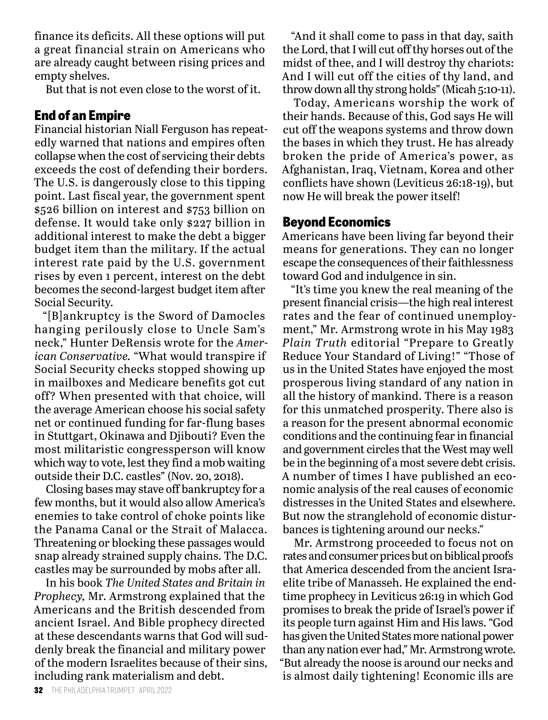finance its deficits. All these options will put a great financial strain on Americans who are already caught between rising prices and empty shelves.

But that is not even close to the worst of it.

#### **End of an Empire**

Financial historian Niall Ferguson has repeatedly warned that nations and empires often collapse when the cost of servicing their debts exceeds the cost of defending their borders. The U.S. is dangerously close to this tipping point. Last fiscal year, the government spent \$526 billion on interest and \$753 billion on defense. It would take only \$227 billion in additional interest to make the debt a bigger budget item than the military. If the actual interest rate paid by the U.S. government rises by even 1 percent, interest on the debt becomes the second-largest budget item after Social Security.

"[B]ankruptcy is the Sword of Damocles hanging perilously close to Uncle Sam's neck," Hunter DeRensis wrote for the *American Conservative.* "What would transpire if Social Security checks stopped showing up in mailboxes and Medicare benefits got cut off? When presented with that choice, will the average American choose his social safety net or continued funding for far-flung bases in Stuttgart, Okinawa and Djibouti? Even the most militaristic congressperson will know which way to vote, lest they find a mob waiting outside their D.C. castles" (Nov. 20, 2018).

Closing bases may stave off bankruptcy for a few months, but it would also allow America's enemies to take control of choke points like the Panama Canal or the Strait of Malacca. Threatening or blocking these passages would snap already strained supply chains. The D.C. castles may be surrounded by mobs after all.

In his book *The United States and Britain in Prophecy,* Mr. Armstrong explained that the Americans and the British descended from ancient Israel. And Bible prophecy directed at these descendants warns that God will suddenly break the financial and military power of the modern Israelites because of their sins, including rank materialism and debt.

"And it shall come to pass in that day, saith the Lord, that I will cut off thy horses out of the midst of thee, and I will destroy thy chariots: And I will cut off the cities of thy land, and throw down all thy strong holds" (Micah 5:10-11).

Today, Americans worship the work of their hands. Because of this, God says He will cut off the weapons systems and throw down the bases in which they trust. He has already broken the pride of America's power, as Afghanistan, Iraq, Vietnam, Korea and other conflicts have shown (Leviticus 26:18-19), but now He will break the power itself!

#### **Beyond Economics**

Americans have been living far beyond their means for generations. They can no longer escape the consequences of their faithlessness toward God and indulgence in sin.

"It's time you knew the real meaning of the present financial crisis—the high real interest rates and the fear of continued unemployment," Mr. Armstrong wrote in his May 1983 *Plain Truth* editorial "Prepare to Greatly Reduce Your Standard of Living!" "Those of us in the United States have enjoyed the most prosperous living standard of any nation in all the history of mankind. There is a reason for this unmatched prosperity. There also is a reason for the present abnormal economic conditions and the continuing fear in financial and government circles that the West may well be in the beginning of a most severe debt crisis. A number of times I have published an economic analysis of the real causes of economic distresses in the United States and elsewhere. But now the stranglehold of economic disturbances is tightening around our necks."

Mr. Armstrong proceeded to focus not on rates and consumer prices but on biblical proofs that America descended from the ancient Israelite tribe of Manasseh. He explained the endtime prophecy in Leviticus 26:19 in which God promises to break the pride of Israel's power if its people turn against Him and His laws. "God has given the United States more national power than any nation ever had," Mr. Armstrong wrote. "But already the noose is around our necks and is almost daily tightening! Economic ills are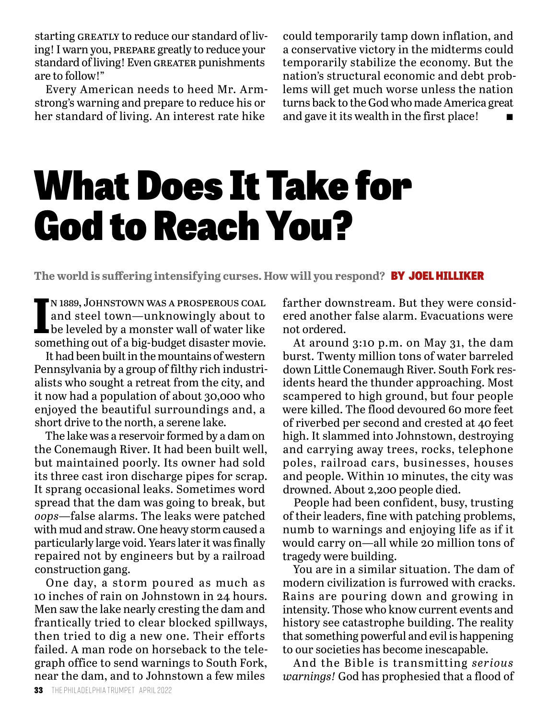starting GREATLY to reduce our standard of living! I warn you, prepare greatly to reduce your standard of living! Even GREATER punishments are to follow!"

Every American needs to heed Mr. Armstrong's warning and prepare to reduce his or her standard of living. An interest rate hike

could temporarily tamp down inflation, and a conservative victory in the midterms could temporarily stabilize the economy. But the nation's structural economic and debt problems will get much worse unless the nation turns back to the God who made America great and gave it its wealth in the first place!

### What Does It Take for God to Reach You?

**The world is suffering intensifying curses. How will you respond?** BY JOEL HILLIKER

**I** n 1889, Johnstown was a prosperous coal and steel town—unknowingly about to be leveled by a monster wall of water like something out of a big-budget disaster movie.

It had been built in the mountains of western Pennsylvania by a group of filthy rich industrialists who sought a retreat from the city, and it now had a population of about 30,000 who enjoyed the beautiful surroundings and, a short drive to the north, a serene lake.

The lake was a reservoir formed by a dam on the Conemaugh River. It had been built well, but maintained poorly. Its owner had sold its three cast iron discharge pipes for scrap. It sprang occasional leaks. Sometimes word spread that the dam was going to break, but *oops*—false alarms. The leaks were patched with mud and straw. One heavy storm caused a particularly large void. Years later it was finally repaired not by engineers but by a railroad construction gang.

One day, a storm poured as much as 10 inches of rain on Johnstown in 24 hours. Men saw the lake nearly cresting the dam and frantically tried to clear blocked spillways, then tried to dig a new one. Their efforts failed. A man rode on horseback to the telegraph office to send warnings to South Fork, near the dam, and to Johnstown a few miles

farther downstream. But they were considered another false alarm. Evacuations were not ordered.

At around 3:10 p.m. on May 31, the dam burst. Twenty million tons of water barreled down Little Conemaugh River. South Fork residents heard the thunder approaching. Most scampered to high ground, but four people were killed. The flood devoured 60 more feet of riverbed per second and crested at 40 feet high. It slammed into Johnstown, destroying and carrying away trees, rocks, telephone poles, railroad cars, businesses, houses and people. Within 10 minutes, the city was drowned. About 2,200 people died.

People had been confident, busy, trusting of their leaders, fine with patching problems, numb to warnings and enjoying life as if it would carry on—all while 20 million tons of tragedy were building.

You are in a similar situation. The dam of modern civilization is furrowed with cracks. Rains are pouring down and growing in intensity. Those who know current events and history see catastrophe building. The reality that something powerful and evil is happening to our societies has become inescapable.

And the Bible is transmitting *serious warnings!* God has prophesied that a flood of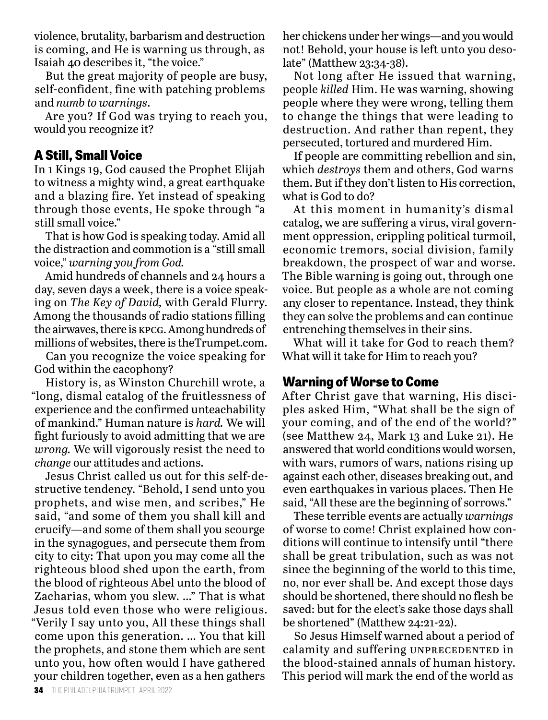violence, brutality, barbarism and destruction is coming, and He is warning us through, as Isaiah 40 describes it, "the voice."

But the great majority of people are busy, self-confident, fine with patching problems and *numb to warnings*.

Are you? If God was trying to reach you, would you recognize it?

#### **A Still, Small Voice**

In 1 Kings 19, God caused the Prophet Elijah to witness a mighty wind, a great earthquake and a blazing fire. Yet instead of speaking through those events, He spoke through "a still small voice."

That is how God is speaking today. Amid all the distraction and commotion is a "still small voice," *warning you from God.*

Amid hundreds of channels and 24 hours a day, seven days a week, there is a voice speaking on *The Key of David,* with Gerald Flurry. Among the thousands of radio stations filling the airwaves, there is kpcg. Among hundreds of millions of websites, there is theTrumpet.com.

Can you recognize the voice speaking for God within the cacophony?

History is, as Winston Churchill wrote, a "long, dismal catalog of the fruitlessness of experience and the confirmed unteachability of mankind." Human nature is *hard.* We will fight furiously to avoid admitting that we are *wrong.* We will vigorously resist the need to *change* our attitudes and actions.

Jesus Christ called us out for this self-destructive tendency. "Behold, I send unto you prophets, and wise men, and scribes," He said, "and some of them you shall kill and crucify—and some of them shall you scourge in the synagogues, and persecute them from city to city: That upon you may come all the righteous blood shed upon the earth, from the blood of righteous Abel unto the blood of Zacharias, whom you slew. …" That is what Jesus told even those who were religious. "Verily I say unto you, All these things shall come upon this generation. … You that kill the prophets, and stone them which are sent unto you, how often would I have gathered your children together, even as a hen gathers

her chickens under her wings—and you would not! Behold, your house is left unto you desolate" (Matthew 23:34-38).

Not long after He issued that warning, people *killed* Him. He was warning, showing people where they were wrong, telling them to change the things that were leading to destruction. And rather than repent, they persecuted, tortured and murdered Him.

If people are committing rebellion and sin, which *destroys* them and others, God warns them. But if they don't listen to His correction, what is God to do?

At this moment in humanity's dismal catalog, we are suffering a virus, viral government oppression, crippling political turmoil, economic tremors, social division, family breakdown, the prospect of war and worse. The Bible warning is going out, through one voice. But people as a whole are not coming any closer to repentance. Instead, they think they can solve the problems and can continue entrenching themselves in their sins.

What will it take for God to reach them? What will it take for Him to reach you?

#### **Warning of Worse to Come**

After Christ gave that warning, His disciples asked Him, "What shall be the sign of your coming, and of the end of the world?" (see Matthew 24, Mark 13 and Luke 21). He answered that world conditions would worsen, with wars, rumors of wars, nations rising up against each other, diseases breaking out, and even earthquakes in various places. Then He said, "All these are the beginning of sorrows."

These terrible events are actually *warnings* of worse to come! Christ explained how conditions will continue to intensify until "there shall be great tribulation, such as was not since the beginning of the world to this time, no, nor ever shall be. And except those days should be shortened, there should no flesh be saved: but for the elect's sake those days shall be shortened" (Matthew 24:21-22).

So Jesus Himself warned about a period of calamity and suffering UNPRECEDENTED in the blood-stained annals of human history. This period will mark the end of the world as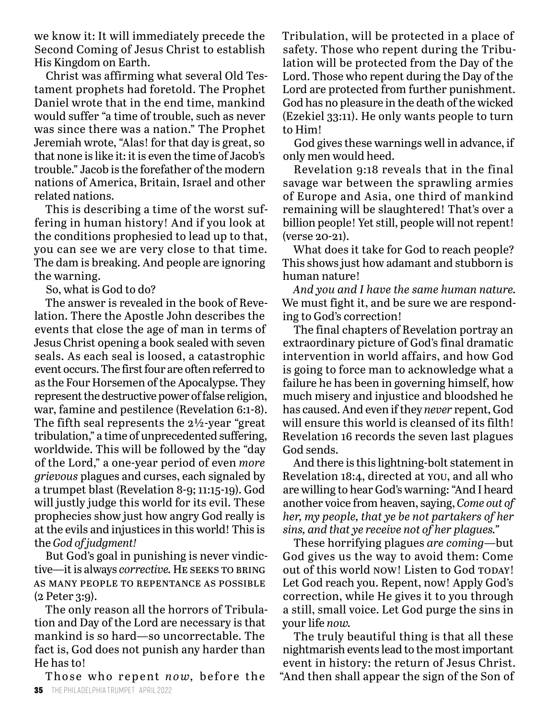we know it: It will immediately precede the Second Coming of Jesus Christ to establish His Kingdom on Earth.

Christ was affirming what several Old Testament prophets had foretold. The Prophet Daniel wrote that in the end time, mankind would suffer "a time of trouble, such as never was since there was a nation." The Prophet Jeremiah wrote, "Alas! for that day is great, so that none is like it: it is even the time of Jacob's trouble." Jacob is the forefather of the modern nations of America, Britain, Israel and other related nations.

This is describing a time of the worst suffering in human history! And if you look at the conditions prophesied to lead up to that, you can see we are very close to that time. The dam is breaking. And people are ignoring the warning.

So, what is God to do?

The answer is revealed in the book of Revelation. There the Apostle John describes the events that close the age of man in terms of Jesus Christ opening a book sealed with seven seals. As each seal is loosed, a catastrophic event occurs. The first four are often referred to as the Four Horsemen of the Apocalypse. They represent the destructive power of false religion, war, famine and pestilence (Revelation 6:1-8). The fifth seal represents the  $2\frac{1}{2}$ -year "great" tribulation," a time of unprecedented suffering, worldwide. This will be followed by the "day of the Lord," a one-year period of even *more grievous* plagues and curses, each signaled by a trumpet blast (Revelation 8-9; 11:15-19). God will justly judge this world for its evil. These prophecies show just how angry God really is at the evils and injustices in this world! This is the *God of judgment!*

But God's goal in punishing is never vindictive—it is always *corrective*. HE SEEKS TO BRING as many people to repentance as possible (2 Peter 3:9).

The only reason all the horrors of Tribulation and Day of the Lord are necessary is that mankind is so hard—so uncorrectable. The fact is, God does not punish any harder than He has to!

**35** THE PHILADELPHIA TRUMPET APRIL 2022 Those who repent *now*, before the Tribulation, will be protected in a place of safety. Those who repent during the Tribulation will be protected from the Day of the Lord. Those who repent during the Day of the Lord are protected from further punishment. God has no pleasure in the death of the wicked (Ezekiel 33:11). He only wants people to turn to Him!

God gives these warnings well in advance, if only men would heed.

Revelation 9:18 reveals that in the final savage war between the sprawling armies of Europe and Asia, one third of mankind remaining will be slaughtered! That's over a billion people! Yet still, people will not repent! (verse 20-21).

What does it take for God to reach people? This shows just how adamant and stubborn is human nature!

*And you and I have the same human nature.* We must fight it, and be sure we are responding to God's correction!

The final chapters of Revelation portray an extraordinary picture of God's final dramatic intervention in world affairs, and how God is going to force man to acknowledge what a failure he has been in governing himself, how much misery and injustice and bloodshed he has caused. And even if they *never* repent, God will ensure this world is cleansed of its filth! Revelation 16 records the seven last plagues God sends.

And there is this lightning-bolt statement in Revelation 18:4, directed at you, and all who are willing to hear God's warning: "And I heard another voice from heaven, saying, *Come out of her, my people, that ye be not partakers of her sins, and that ye receive not of her plagues."*

These horrifying plagues *are coming*—but God gives us the way to avoid them: Come out of this world now! Listen to God TODAY! Let God reach you. Repent, now! Apply God's correction, while He gives it to you through a still, small voice. Let God purge the sins in your life *now.*

The truly beautiful thing is that all these nightmarish events lead to the most important event in history: the return of Jesus Christ. "And then shall appear the sign of the Son of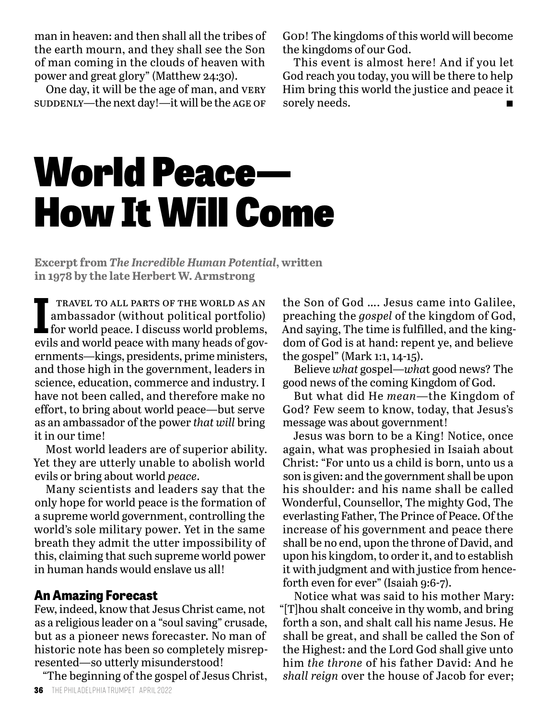man in heaven: and then shall all the tribes of the earth mourn, and they shall see the Son of man coming in the clouds of heaven with power and great glory" (Matthew 24:30).

One day, it will be the age of man, and very suddenly—the next day!—it will be the AGE OF

God! The kingdoms of this world will become the kingdoms of our God.

This event is almost here! And if you let God reach you today, you will be there to help Him bring this world the justice and peace it sorely needs.

## World Peace— How It Will Come

**Excerpt from** *The Incredible Human Potential***, written in 1978 by the late Herbert W. Armstrong**

**IPE TRAVEL TO ALL PARTS OF THE WORLD AS AN<br>
ambassador (without political portfolio)<br>
for world peace. I discuss world problems,** travel to all parts of the world as an ambassador (without political portfolio) evils and world peace with many heads of governments—kings, presidents, prime ministers, and those high in the government, leaders in science, education, commerce and industry. I have not been called, and therefore make no effort, to bring about world peace—but serve as an ambassador of the power *that will* bring it in our time!

Most world leaders are of superior ability. Yet they are utterly unable to abolish world evils or bring about world *peace*.

Many scientists and leaders say that the only hope for world peace is the formation of a supreme world government, controlling the world's sole military power. Yet in the same breath they admit the utter impossibility of this, claiming that such supreme world power in human hands would enslave us all!

#### **An Amazing Forecast**

Few, indeed, know that Jesus Christ came, not as a religious leader on a "soul saving" crusade, but as a pioneer news forecaster. No man of historic note has been so completely misrepresented—so utterly misunderstood!

"The beginning of the gospel of Jesus Christ,

the Son of God …. Jesus came into Galilee, preaching the *gospel* of the kingdom of God, And saying, The time is fulfilled, and the kingdom of God is at hand: repent ye, and believe the gospel" (Mark 1:1, 14-15).

Believe *what* gospel—*wha*t good news? The good news of the coming Kingdom of God.

But what did He *mean*—the Kingdom of God? Few seem to know, today, that Jesus's message was about government!

Jesus was born to be a King! Notice, once again, what was prophesied in Isaiah about Christ: "For unto us a child is born, unto us a son is given: and the government shall be upon his shoulder: and his name shall be called Wonderful, Counsellor, The mighty God, The everlasting Father, The Prince of Peace. Of the increase of his government and peace there shall be no end, upon the throne of David, and upon his kingdom, to order it, and to establish it with judgment and with justice from henceforth even for ever" (Isaiah 9:6-7).

Notice what was said to his mother Mary: "[T]hou shalt conceive in thy womb, and bring forth a son, and shalt call his name Jesus. He shall be great, and shall be called the Son of the Highest: and the Lord God shall give unto him *the throne* of his father David: And he *shall reign* over the house of Jacob for ever;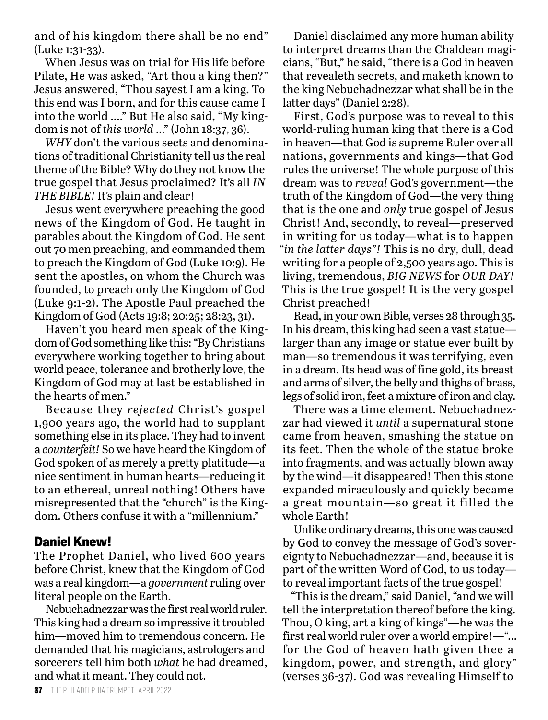and of his kingdom there shall be no end" (Luke 1:31-33).

When Jesus was on trial for His life before Pilate, He was asked, "Art thou a king then?" Jesus answered, "Thou sayest I am a king. To this end was I born, and for this cause came I into the world …." But He also said, "My kingdom is not of *this world* …" (John 18:37, 36).

*WHY* don't the various sects and denominations of traditional Christianity tell us the real theme of the Bible? Why do they not know the true gospel that Jesus proclaimed? It's all *IN THE BIBLE!* It's plain and clear!

Jesus went everywhere preaching the good news of the Kingdom of God. He taught in parables about the Kingdom of God. He sent out 70 men preaching, and commanded them to preach the Kingdom of God (Luke 10:9). He sent the apostles, on whom the Church was founded, to preach only the Kingdom of God (Luke 9:1-2). The Apostle Paul preached the Kingdom of God (Acts 19:8; 20:25; 28:23, 31).

Haven't you heard men speak of the Kingdom of God something like this: "By Christians everywhere working together to bring about world peace, tolerance and brotherly love, the Kingdom of God may at last be established in the hearts of men."

Because they *rejected* Christ's gospel 1,900 years ago, the world had to supplant something else in its place. They had to invent a *counterfeit!* So we have heard the Kingdom of God spoken of as merely a pretty platitude—a nice sentiment in human hearts—reducing it to an ethereal, unreal nothing! Others have misrepresented that the "church" is the Kingdom. Others confuse it with a "millennium."

#### **Daniel Knew!**

The Prophet Daniel, who lived 600 years before Christ, knew that the Kingdom of God was a real kingdom—a *government* ruling over literal people on the Earth.

Nebuchadnezzar was the first real world ruler. This king had a dream so impressive it troubled him—moved him to tremendous concern. He demanded that his magicians, astrologers and sorcerers tell him both *what* he had dreamed, and what it meant. They could not.

Daniel disclaimed any more human ability to interpret dreams than the Chaldean magicians, "But," he said, "there is a God in heaven that revealeth secrets, and maketh known to the king Nebuchadnezzar what shall be in the latter days" (Daniel 2:28).

First, God's purpose was to reveal to this world-ruling human king that there is a God in heaven—that God is supreme Ruler over all nations, governments and kings—that God rules the universe! The whole purpose of this dream was to *reveal* God's government—the truth of the Kingdom of God—the very thing that is the one and *only* true gospel of Jesus Christ! And, secondly, to reveal—preserved in writing for us today—what is to happen "*in the latter days"!* This is no dry, dull, dead writing for a people of 2,500 years ago. This is living, tremendous, *BIG NEWS* for *OUR DAY!* This is the true gospel! It is the very gospel Christ preached!

Read, in your own Bible, verses 28 through 35. In his dream, this king had seen a vast statue larger than any image or statue ever built by man—so tremendous it was terrifying, even in a dream. Its head was of fine gold, its breast and arms of silver, the belly and thighs of brass, legs of solid iron, feet a mixture of iron and clay.

There was a time element. Nebuchadnezzar had viewed it *until* a supernatural stone came from heaven, smashing the statue on its feet. Then the whole of the statue broke into fragments, and was actually blown away by the wind—it disappeared! Then this stone expanded miraculously and quickly became a great mountain—so great it filled the whole Earth!

Unlike ordinary dreams, this one was caused by God to convey the message of God's sovereignty to Nebuchadnezzar—and, because it is part of the written Word of God, to us today to reveal important facts of the true gospel!

"This is the dream," said Daniel, "and we will tell the interpretation thereof before the king. Thou, O king, art a king of kings"—he was the first real world ruler over a world empire!—"… for the God of heaven hath given thee a kingdom, power, and strength, and glory" (verses 36-37). God was revealing Himself to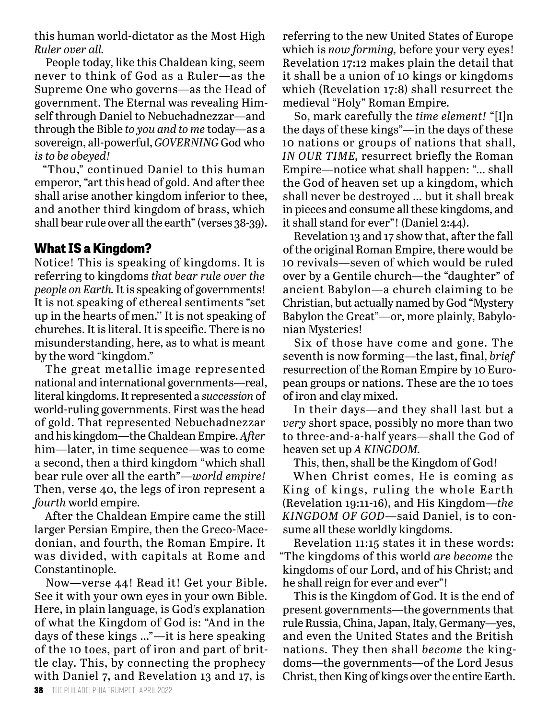this human world-dictator as the Most High *Ruler over all.*

People today, like this Chaldean king, seem never to think of God as a Ruler—as the Supreme One who governs—as the Head of government. The Eternal was revealing Himself through Daniel to Nebuchadnezzar—and through the Bible *to you and to me* today—as a sovereign, all-powerful, *GOVERNING* God who *is to be obeyed!*

"Thou," continued Daniel to this human emperor, "art this head of gold. And after thee shall arise another kingdom inferior to thee, and another third kingdom of brass, which shall bear rule over all the earth" (verses 38-39).

#### **What IS a Kingdom?**

Notice! This is speaking of kingdoms. It is referring to kingdoms *that bear rule over the people on Earth.* It is speaking of governments! It is not speaking of ethereal sentiments "set up in the hearts of men.'' It is not speaking of churches. It is literal. It is specific. There is no misunderstanding, here, as to what is meant by the word "kingdom."

The great metallic image represented national and international governments—real, literal kingdoms. It represented a *succession* of world-ruling governments. First was the head of gold. That represented Nebuchadnezzar and his kingdom—the Chaldean Empire. *After* him—later, in time sequence—was to come a second, then a third kingdom "which shall bear rule over all the earth"—*world empire!*  Then, verse 40, the legs of iron represent a *fourth* world empire.

After the Chaldean Empire came the still larger Persian Empire, then the Greco-Macedonian, and fourth, the Roman Empire. It was divided, with capitals at Rome and Constantinople.

Now—verse 44! Read it! Get your Bible. See it with your own eyes in your own Bible. Here, in plain language, is God's explanation of what the Kingdom of God is: "And in the days of these kings …"—it is here speaking of the 10 toes, part of iron and part of brittle clay. This, by connecting the prophecy with Daniel 7, and Revelation 13 and 17, is

referring to the new United States of Europe which is *now forming,* before your very eyes! Revelation 17:12 makes plain the detail that it shall be a union of 10 kings or kingdoms which (Revelation 17:8) shall resurrect the medieval "Holy" Roman Empire.

So, mark carefully the *time element!* "[I]n the days of these kings"—in the days of these 10 nations or groups of nations that shall, *IN OUR TIME,* resurrect briefly the Roman Empire—notice what shall happen: "… shall the God of heaven set up a kingdom, which shall never be destroyed … but it shall break in pieces and consume all these kingdoms, and it shall stand for ever"! (Daniel 2:44).

Revelation 13 and 17 show that, after the fall of the original Roman Empire, there would be 10 revivals—seven of which would be ruled over by a Gentile church—the "daughter" of ancient Babylon—a church claiming to be Christian, but actually named by God "Mystery Babylon the Great"—or, more plainly, Babylonian Mysteries!

Six of those have come and gone. The seventh is now forming—the last, final, *brief*  resurrection of the Roman Empire by 10 European groups or nations. These are the 10 toes of iron and clay mixed.

In their days—and they shall last but a *very* short space, possibly no more than two to three-and-a-half years—shall the God of heaven set up *A KINGDOM.*

This, then, shall be the Kingdom of God!

When Christ comes, He is coming as King of kings, ruling the whole Earth (Revelation 19:11-16), and His Kingdom—*the KINGDOM OF GOD*—said Daniel, is to consume all these worldly kingdoms.

Revelation 11:15 states it in these words: "The kingdoms of this world *are become* the kingdoms of our Lord, and of his Christ; and he shall reign for ever and ever"!

This is the Kingdom of God. It is the end of present governments—the governments that rule Russia, China, Japan, Italy, Germany—yes, and even the United States and the British nations. They then shall *become* the kingdoms—the governments—of the Lord Jesus Christ, then King of kings over the entire Earth.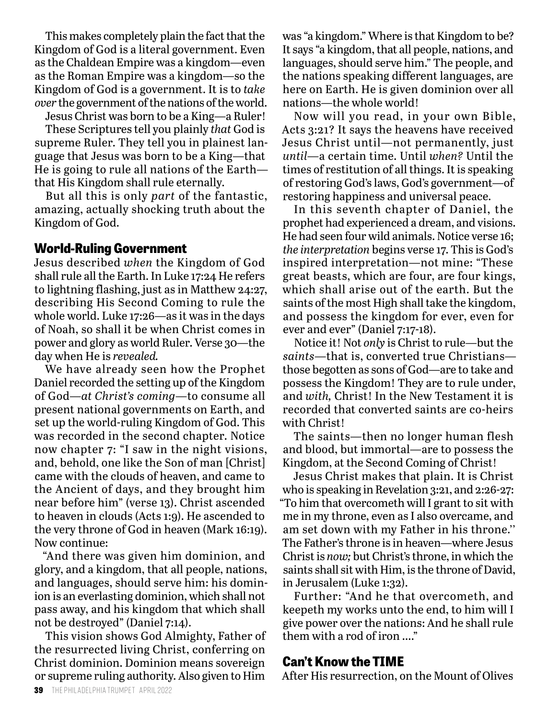This makes completely plain the fact that the Kingdom of God is a literal government. Even as the Chaldean Empire was a kingdom—even as the Roman Empire was a kingdom—so the Kingdom of God is a government. It is to *take over* the government of the nations of the world. Jesus Christ was born to be a King—a Ruler!

These Scriptures tell you plainly *that* God is supreme Ruler. They tell you in plainest language that Jesus was born to be a King—that He is going to rule all nations of the Earth that His Kingdom shall rule eternally.

But all this is only *part* of the fantastic, amazing, actually shocking truth about the Kingdom of God.

#### **World-Ruling Government**

Jesus described *when* the Kingdom of God shall rule all the Earth. In Luke 17:24 He refers to lightning flashing, just as in Matthew 24:27, describing His Second Coming to rule the whole world. Luke 17:26—as it was in the days of Noah, so shall it be when Christ comes in power and glory as world Ruler. Verse 30—the day when He is *revealed.*

We have already seen how the Prophet Daniel recorded the setting up of the Kingdom of God—*at Christ's coming*—to consume all present national governments on Earth, and set up the world-ruling Kingdom of God. This was recorded in the second chapter. Notice now chapter 7: "I saw in the night visions, and, behold, one like the Son of man [Christ] came with the clouds of heaven, and came to the Ancient of days, and they brought him near before him" (verse 13). Christ ascended to heaven in clouds (Acts 1:9). He ascended to the very throne of God in heaven (Mark 16:19). Now continue:

"And there was given him dominion, and glory, and a kingdom, that all people, nations, and languages, should serve him: his dominion is an everlasting dominion, which shall not pass away, and his kingdom that which shall not be destroyed" (Daniel 7:14).

This vision shows God Almighty, Father of the resurrected living Christ, conferring on Christ dominion. Dominion means sovereign or supreme ruling authority. Also given to Him

was "a kingdom." Where is that Kingdom to be? It says "a kingdom, that all people, nations, and languages, should serve him." The people, and the nations speaking different languages, are here on Earth. He is given dominion over all nations—the whole world!

Now will you read, in your own Bible, Acts 3:21? It says the heavens have received Jesus Christ until—not permanently, just *until—*a certain time. Until *when?* Until the times of restitution of all things. It is speaking of restoring God's laws, God's government—of restoring happiness and universal peace.

In this seventh chapter of Daniel, the prophet had experienced a dream, and visions. He had seen four wild animals. Notice verse 16; *the interpretation* begins verse 17. This is God's inspired interpretation—not mine: "These great beasts, which are four, are four kings, which shall arise out of the earth. But the saints of the most High shall take the kingdom, and possess the kingdom for ever, even for ever and ever" (Daniel 7:17-18).

Notice it! Not *only* is Christ to rule—but the *saints*—that is, converted true Christians those begotten as sons of God—are to take and possess the Kingdom! They are to rule under, and *with,* Christ! In the New Testament it is recorded that converted saints are co-heirs with Christ!

The saints—then no longer human flesh and blood, but immortal—are to possess the Kingdom, at the Second Coming of Christ!

Jesus Christ makes that plain. It is Christ who is speaking in Revelation 3:21, and 2:26-27: "To him that overcometh will I grant to sit with me in my throne, even as I also overcame, and am set down with my Father in his throne.'' The Father's throne is in heaven—where Jesus Christ is *now;* but Christ's throne, in which the saints shall sit with Him, is the throne of David, in Jerusalem (Luke 1:32).

Further: "And he that overcometh, and keepeth my works unto the end, to him will I give power over the nations: And he shall rule them with a rod of iron …."

#### **Can't Know the TIME**

After His resurrection, on the Mount of Olives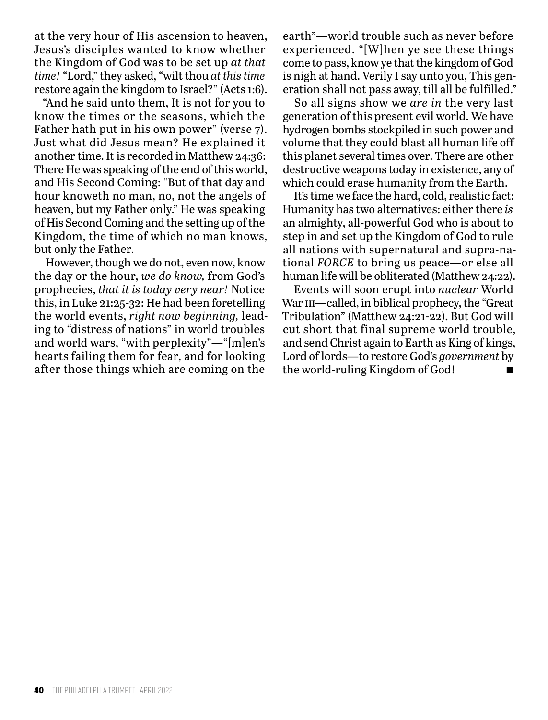at the very hour of His ascension to heaven, Jesus's disciples wanted to know whether the Kingdom of God was to be set up *at that time!* "Lord," they asked, "wilt thou *at this time* restore again the kingdom to Israel?" (Acts 1:6).

"And he said unto them, It is not for you to know the times or the seasons, which the Father hath put in his own power" (verse 7). Just what did Jesus mean? He explained it another time. It is recorded in Matthew 24:36: There He was speaking of the end of this world, and His Second Coming: "But of that day and hour knoweth no man, no, not the angels of heaven, but my Father only." He was speaking of His Second Coming and the setting up of the Kingdom, the time of which no man knows, but only the Father.

However, though we do not, even now, know the day or the hour, *we do know,* from God's prophecies, *that it is today very near!* Notice this, in Luke 21:25-32: He had been foretelling the world events, *right now beginning,* leading to "distress of nations" in world troubles and world wars, "with perplexity"—"[m]en's hearts failing them for fear, and for looking after those things which are coming on the

earth"—world trouble such as never before experienced. "[W]hen ye see these things come to pass, know ye that the kingdom of God is nigh at hand. Verily I say unto you, This generation shall not pass away, till all be fulfilled."

So all signs show we *are in* the very last generation of this present evil world. We have hydrogen bombs stockpiled in such power and volume that they could blast all human life off this planet several times over. There are other destructive weapons today in existence, any of which could erase humanity from the Earth.

It's time we face the hard, cold, realistic fact: Humanity has two alternatives: either there *is*  an almighty, all-powerful God who is about to step in and set up the Kingdom of God to rule all nations with supernatural and supra-national *FORCE* to bring us peace—or else all human life will be obliterated (Matthew 24:22).

Events will soon erupt into *nuclear* World War III—called, in biblical prophecy, the "Great Tribulation" (Matthew 24:21-22). But God will cut short that final supreme world trouble, and send Christ again to Earth as King of kings, Lord of lords—to restore God's *government* by the world-ruling Kingdom of God!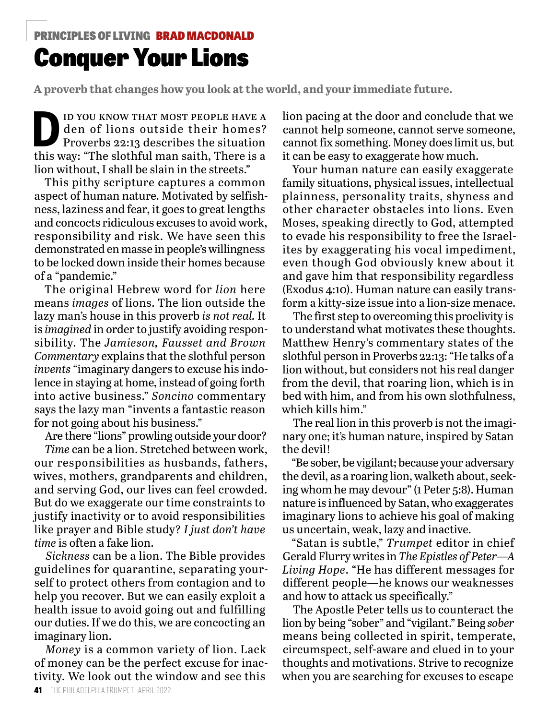#### Conquer Your Lions PRINCIPLES OF LIVING BRAD MACDONALD

**A proverb that changes how you look at the world, and your immediate future.**

ID YOU KNOW THAT MOST PEOPLE HAVE A<br>den of lions outside their homes?<br>Proverbs 22:13 describes the situation den of lions outside their homes? Proverbs 22:13 describes the situation this way: "The slothful man saith, There is a lion without, I shall be slain in the streets."

This pithy scripture captures a common aspect of human nature. Motivated by selfishness, laziness and fear, it goes to great lengths and concocts ridiculous excuses to avoid work, responsibility and risk. We have seen this demonstrated en masse in people's willingness to be locked down inside their homes because of a "pandemic."

The original Hebrew word for *lion* here means *images* of lions. The lion outside the lazy man's house in this proverb *is not real.* It is *imagined* in order to justify avoiding responsibility. The *Jamieson, Fausset and Brown Commentary* explains that the slothful person *invents* "imaginary dangers to excuse his indolence in staying at home, instead of going forth into active business." *Soncino* commentary says the lazy man "invents a fantastic reason for not going about his business."

Are there "lions" prowling outside your door?

*Time* can be a lion. Stretched between work, our responsibilities as husbands, fathers, wives, mothers, grandparents and children, and serving God, our lives can feel crowded. But do we exaggerate our time constraints to justify inactivity or to avoid responsibilities like prayer and Bible study? *I just don't have time* is often a fake lion.

*Sickness* can be a lion. The Bible provides guidelines for quarantine, separating yourself to protect others from contagion and to help you recover. But we can easily exploit a health issue to avoid going out and fulfilling our duties. If we do this, we are concocting an imaginary lion.

*Money* is a common variety of lion. Lack of money can be the perfect excuse for inactivity. We look out the window and see this

lion pacing at the door and conclude that we cannot help someone, cannot serve someone, cannot fix something. Money does limit us, but it can be easy to exaggerate how much.

Your human nature can easily exaggerate family situations, physical issues, intellectual plainness, personality traits, shyness and other character obstacles into lions. Even Moses, speaking directly to God, attempted to evade his responsibility to free the Israelites by exaggerating his vocal impediment, even though God obviously knew about it and gave him that responsibility regardless (Exodus 4:10). Human nature can easily transform a kitty-size issue into a lion-size menace.

The first step to overcoming this proclivity is to understand what motivates these thoughts. Matthew Henry's commentary states of the slothful person in Proverbs 22:13: "He talks of a lion without, but considers not his real danger from the devil, that roaring lion, which is in bed with him, and from his own slothfulness, which kills him."

The real lion in this proverb is not the imaginary one; it's human nature, inspired by Satan the devil!

"Be sober, be vigilant; because your adversary the devil, as a roaring lion, walketh about, seeking whom he may devour" (1 Peter 5:8). Human nature is influenced by Satan, who exaggerates imaginary lions to achieve his goal of making us uncertain, weak, lazy and inactive.

"Satan is subtle," *Trumpet* editor in chief Gerald Flurry writes in *The Epistles of Peter—A Living Hope*. "He has different messages for different people—he knows our weaknesses and how to attack us specifically."

The Apostle Peter tells us to counteract the lion by being "sober" and "vigilant." Being *sober* means being collected in spirit, temperate, circumspect, self-aware and clued in to your thoughts and motivations. Strive to recognize when you are searching for excuses to escape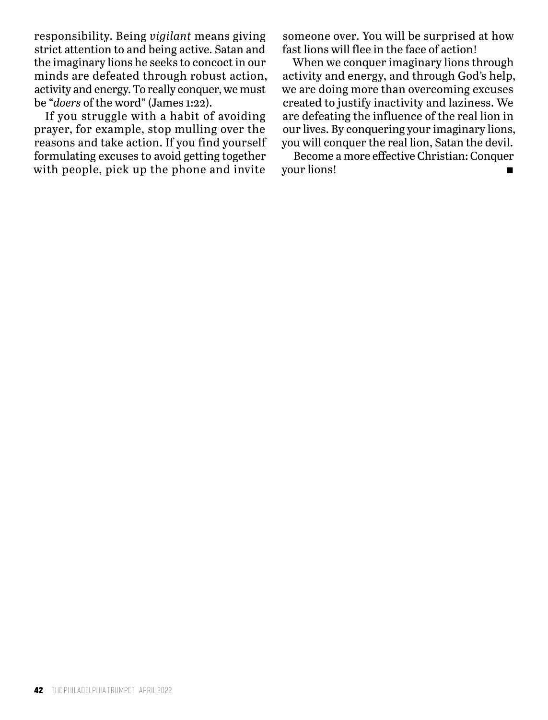responsibility. Being *vigilant* means giving strict attention to and being active. Satan and the imaginary lions he seeks to concoct in our minds are defeated through robust action, activity and energy. To really conquer, we must be "*doers* of the word" (James 1:22).

If you struggle with a habit of avoiding prayer, for example, stop mulling over the reasons and take action. If you find yourself formulating excuses to avoid getting together with people, pick up the phone and invite

someone over. You will be surprised at how fast lions will flee in the face of action!

When we conquer imaginary lions through activity and energy, and through God's help, we are doing more than overcoming excuses created to justify inactivity and laziness. We are defeating the influence of the real lion in our lives. By conquering your imaginary lions, you will conquer the real lion, Satan the devil.

Become a more effective Christian: Conquer your lions!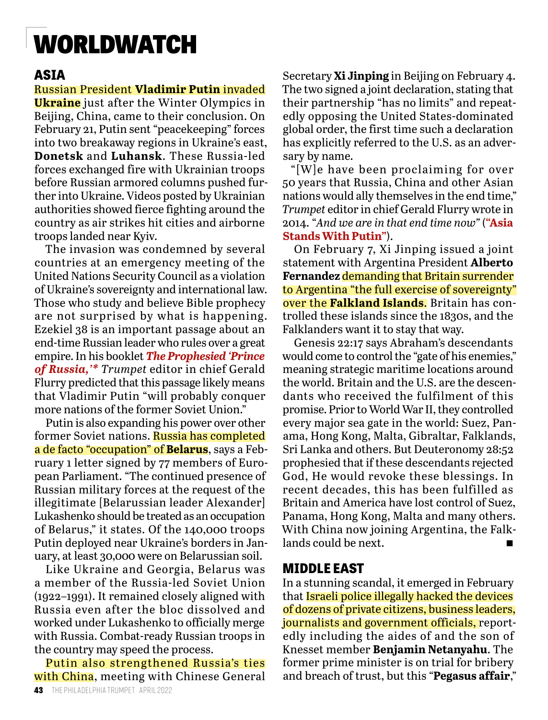### WORLDWATCH

#### **ASIA**

#### Russian President **Vladimir Putin** invaded

**Ukraine** just after the Winter Olympics in Beijing, China, came to their conclusion. On February 21, Putin sent "peacekeeping" forces into two breakaway regions in Ukraine's east, **Donetsk** and **Luhansk**. These Russia-led forces exchanged fire with Ukrainian troops before Russian armored columns pushed further into Ukraine. Videos posted by Ukrainian authorities showed fierce fighting around the country as air strikes hit cities and airborne troops landed near Kyiv.

The invasion was condemned by several countries at an emergency meeting of the United Nations Security Council as a violation of Ukraine's sovereignty and international law. Those who study and believe Bible prophecy are not surprised by what is happening. Ezekiel 38 is an important passage about an end-time Russian leader who rules over a great empire. In his booklet *The Prophesied 'Prince of Russia,'\* Trumpet* editor in chief Gerald Flurry predicted that this passage likely means that Vladimir Putin "will probably conquer more nations of the former Soviet Union."

Putin is also expanding his power over other former Soviet nations. Russia has completed a de facto "occupation" of **Belarus**, says a February 1 letter signed by 77 members of European Parliament. "The continued presence of Russian military forces at the request of the illegitimate [Belarussian leader Alexander] Lukashenko should be treated as an occupation of Belarus," it states. Of the 140,000 troops Putin deployed near Ukraine's borders in January, at least 30,000 were on Belarussian soil.

Like Ukraine and Georgia, Belarus was a member of the Russia-led Soviet Union (1922–1991). It remained closely aligned with Russia even after the bloc dissolved and worked under Lukashenko to officially merge with Russia. Combat-ready Russian troops in the country may speed the process.

Putin also strengthened Russia's ties with China, meeting with Chinese General

Secretary **Xi Jinping** in Beijing on February 4. The two signed a joint declaration, stating that their partnership "has no limits" and repeatedly opposing the United States-dominated global order, the first time such a declaration has explicitly referred to the U.S. as an adversary by name.

"[W]e have been proclaiming for over 50 years that Russia, China and other Asian nations would ally themselves in the end time," *Trumpet* editor in chief Gerald Flurry wrote in 2014. "*And we are in that end time now"* (**"Asia Stands With Putin"**).

On February 7, Xi Jinping issued a joint statement with Argentina President **Alberto Fernandez** demanding that Britain surrender to Argentina "the full exercise of sovereignty" over the **Falkland Islands**. Britain has controlled these islands since the 1830s, and the Falklanders want it to stay that way.

Genesis 22:17 says Abraham's descendants would come to control the "gate of his enemies," meaning strategic maritime locations around the world. Britain and the U.S. are the descendants who received the fulfilment of this promise. Prior to World War II, they controlled every major sea gate in the world: Suez, Panama, Hong Kong, Malta, Gibraltar, Falklands, Sri Lanka and others. But Deuteronomy 28:52 prophesied that if these descendants rejected God, He would revoke these blessings. In recent decades, this has been fulfilled as Britain and America have lost control of Suez, Panama, Hong Kong, Malta and many others. With China now joining Argentina, the Falklands could be next.

#### **MIDDLE EAST**

In a stunning scandal, it emerged in February that **Israeli police illegally hacked the devices** of dozens of private citizens, business leaders, journalists and government officials, reportedly including the aides of and the son of Knesset member **Benjamin Netanyahu**. The former prime minister is on trial for bribery and breach of trust, but this "**Pegasus affair**,"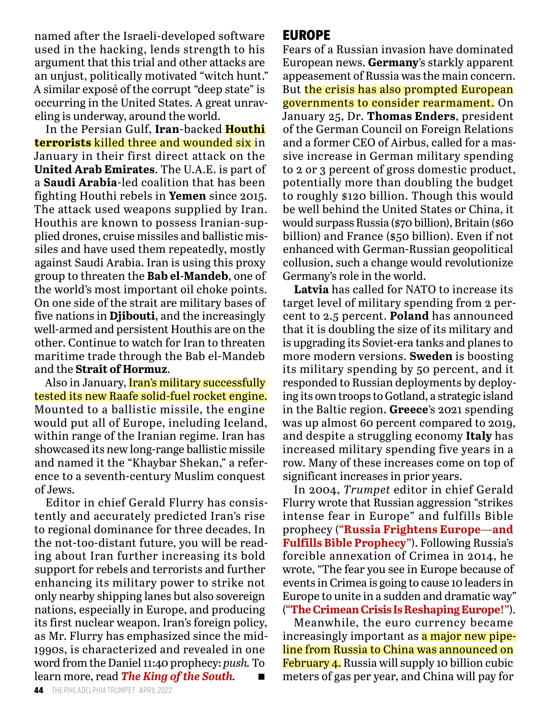named after the Israeli-developed software used in the hacking, lends strength to his argument that this trial and other attacks are an unjust, politically motivated "witch hunt." A similar exposé of the corrupt "deep state" is occurring in the United States. A great unraveling is underway, around the world.

In the Persian Gulf, **Iran**-backed **Houthi terrorists** killed three and wounded six in January in their first direct attack on the **United Arab Emirates**. The U.A.E. is part of a **Saudi Arabia**-led coalition that has been fighting Houthi rebels in **Yemen** since 2015. The attack used weapons supplied by Iran. Houthis are known to possess Iranian-supplied drones, cruise missiles and ballistic missiles and have used them repeatedly, mostly against Saudi Arabia. Iran is using this proxy group to threaten the **Bab el-Mandeb**, one of the world's most important oil choke points. On one side of the strait are military bases of five nations in **Djibouti**, and the increasingly well-armed and persistent Houthis are on the other. Continue to watch for Iran to threaten maritime trade through the Bab el-Mandeb and the **Strait of Hormuz**.

Also in January, *Iran's military successfully* tested its new Raafe solid-fuel rocket engine. Mounted to a ballistic missile, the engine would put all of Europe, including Iceland, within range of the Iranian regime. Iran has showcased its new long-range ballistic missile and named it the "Khaybar Shekan," a reference to a seventh-century Muslim conquest of Jews.

Editor in chief Gerald Flurry has consistently and accurately predicted Iran's rise to regional dominance for three decades. In the not-too-distant future, you will be reading about Iran further increasing its bold support for rebels and terrorists and further enhancing its military power to strike not only nearby shipping lanes but also sovereign nations, especially in Europe, and producing its first nuclear weapon. Iran's foreign policy, as Mr. Flurry has emphasized since the mid-1990s, is characterized and revealed in one word from the Daniel 11:40 prophecy: *push.* To learn more, read *The King of the South.* n

#### **EUROPE**

Fears of a Russian invasion have dominated European news. **Germany**'s starkly apparent appeasement of Russia was the main concern. But the crisis has also prompted European governments to consider rearmament. On January 25, Dr. **Thomas Enders**, president of the German Council on Foreign Relations and a former CEO of Airbus, called for a massive increase in German military spending to 2 or 3 percent of gross domestic product, potentially more than doubling the budget to roughly \$120 billion. Though this would be well behind the United States or China, it would surpass Russia (\$70 billion), Britain (\$60 billion) and France (\$50 billion). Even if not enhanced with German-Russian geopolitical collusion, such a change would revolutionize Germany's role in the world.

**Latvia** has called for NATO to increase its target level of military spending from 2 percent to 2.5 percent. **Poland** has announced that it is doubling the size of its military and is upgrading its Soviet-era tanks and planes to more modern versions. **Sweden** is boosting its military spending by 50 percent, and it responded to Russian deployments by deploying its own troops to Gotland, a strategic island in the Baltic region. **Greece**'s 2021 spending was up almost 60 percent compared to 2019, and despite a struggling economy **Italy** has increased military spending five years in a row. Many of these increases come on top of significant increases in prior years.

In 2004, *Trumpet* editor in chief Gerald Flurry wrote that Russian aggression "strikes intense fear in Europe" and fulfills Bible prophecy (**"Russia Frightens Europe—and Fulfills Bible Prophecy"**). Following Russia's forcible annexation of Crimea in 2014, he wrote, "The fear you see in Europe because of events in Crimea is going to cause 10 leaders in Europe to unite in a sudden and dramatic way" (**"The Crimean Crisis Is Reshaping Europe!"**).

Meanwhile, the euro currency became increasingly important as a major new pipeline from Russia to China was announced on February 4. Russia will supply 10 billion cubic meters of gas per year, and China will pay for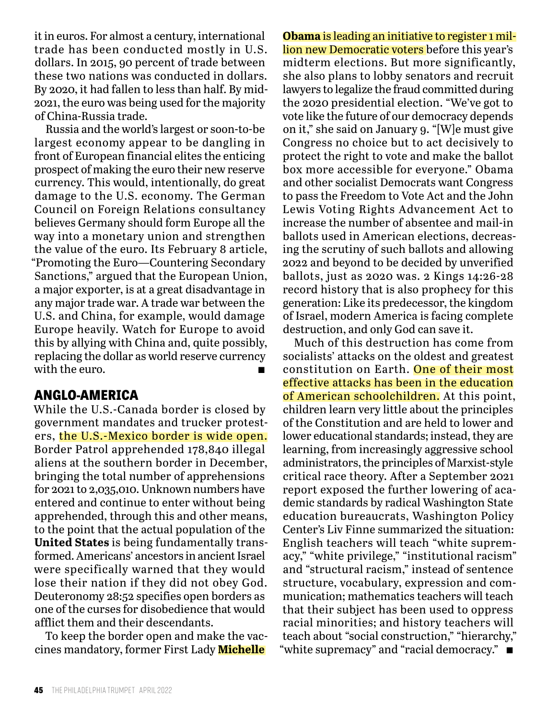it in euros. For almost a century, international trade has been conducted mostly in U.S. dollars. In 2015, 90 percent of trade between these two nations was conducted in dollars. By 2020, it had fallen to less than half. By mid-2021, the euro was being used for the majority of China-Russia trade.

Russia and the world's largest or soon-to-be largest economy appear to be dangling in front of European financial elites the enticing prospect of making the euro their new reserve currency. This would, intentionally, do great damage to the U.S. economy. The German Council on Foreign Relations consultancy believes Germany should form Europe all the way into a monetary union and strengthen the value of the euro. Its February 8 article, "Promoting the Euro—Countering Secondary Sanctions," argued that the European Union, a major exporter, is at a great disadvantage in any major trade war. A trade war between the U.S. and China, for example, would damage Europe heavily. Watch for Europe to avoid this by allying with China and, quite possibly, replacing the dollar as world reserve currency with the euro.

#### **ANGLO-AMERICA**

While the U.S.-Canada border is closed by government mandates and trucker protesters, the U.S.-Mexico border is wide open. Border Patrol apprehended 178,840 illegal aliens at the southern border in December, bringing the total number of apprehensions for 2021 to 2,035,010. Unknown numbers have entered and continue to enter without being apprehended, through this and other means, to the point that the actual population of the **United States** is being fundamentally transformed. Americans' ancestors in ancient Israel were specifically warned that they would lose their nation if they did not obey God. Deuteronomy 28:52 specifies open borders as one of the curses for disobedience that would afflict them and their descendants.

To keep the border open and make the vaccines mandatory, former First Lady **Michelle** 

**Obama** is leading an initiative to register 1 million new Democratic voters before this year's midterm elections. But more significantly, she also plans to lobby senators and recruit lawyers to legalize the fraud committed during the 2020 presidential election. "We've got to vote like the future of our democracy depends on it," she said on January 9. "[W]e must give Congress no choice but to act decisively to protect the right to vote and make the ballot box more accessible for everyone." Obama and other socialist Democrats want Congress to pass the Freedom to Vote Act and the John Lewis Voting Rights Advancement Act to increase the number of absentee and mail-in ballots used in American elections, decreasing the scrutiny of such ballots and allowing 2022 and beyond to be decided by unverified ballots, just as 2020 was. 2 Kings 14:26-28 record history that is also prophecy for this generation: Like its predecessor, the kingdom of Israel, modern America is facing complete destruction, and only God can save it.

Much of this destruction has come from socialists' attacks on the oldest and greatest constitution on Earth. One of their most effective attacks has been in the education of American schoolchildren. At this point, children learn very little about the principles of the Constitution and are held to lower and lower educational standards; instead, they are learning, from increasingly aggressive school administrators, the principles of Marxist-style critical race theory. After a September 2021 report exposed the further lowering of academic standards by radical Washington State education bureaucrats, Washington Policy Center's Liv Finne summarized the situation: English teachers will teach "white supremacy," "white privilege," "institutional racism" and "structural racism," instead of sentence structure, vocabulary, expression and communication; mathematics teachers will teach that their subject has been used to oppress racial minorities; and history teachers will teach about "social construction," "hierarchy," "white supremacy" and "racial democracy."  $\blacksquare$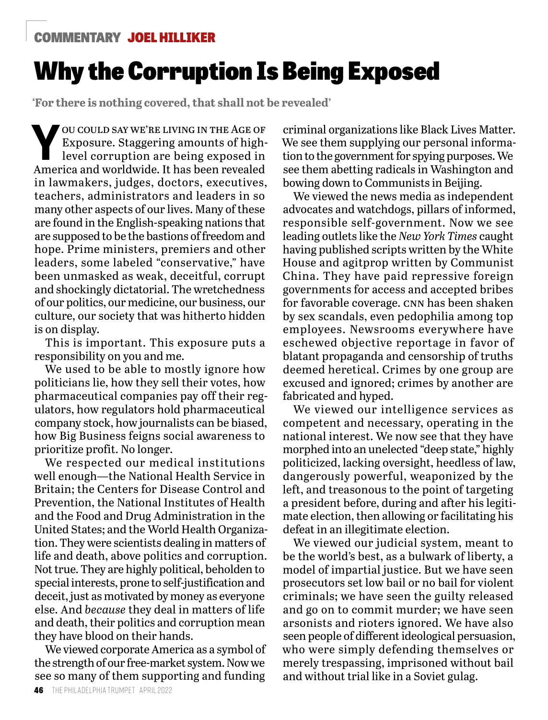#### COMMENTARY JOEL HILLIKER

### Why the Corruption Is Being Exposed

**'For there is nothing covered, that shall not be revealed'**

**Y** OU COULD SAY WE'RE LIVING IN THE AGE OF Exposure. Staggering amounts of high-<br>level corruption are being exposed in Exposure. Staggering amounts of highlevel corruption are being exposed in America and worldwide. It has been revealed in lawmakers, judges, doctors, executives, teachers, administrators and leaders in so many other aspects of our lives. Many of these are found in the English-speaking nations that are supposed to be the bastions of freedom and hope. Prime ministers, premiers and other leaders, some labeled "conservative," have been unmasked as weak, deceitful, corrupt and shockingly dictatorial. The wretchedness of our politics, our medicine, our business, our culture, our society that was hitherto hidden is on display.

This is important. This exposure puts a responsibility on you and me.

We used to be able to mostly ignore how politicians lie, how they sell their votes, how pharmaceutical companies pay off their regulators, how regulators hold pharmaceutical company stock, how journalists can be biased, how Big Business feigns social awareness to prioritize profit. No longer.

We respected our medical institutions well enough—the National Health Service in Britain; the Centers for Disease Control and Prevention, the National Institutes of Health and the Food and Drug Administration in the United States; and the World Health Organization. They were scientists dealing in matters of life and death, above politics and corruption. Not true. They are highly political, beholden to special interests, prone to self-justification and deceit, just as motivated by money as everyone else. And *because* they deal in matters of life and death, their politics and corruption mean they have blood on their hands.

We viewed corporate America as a symbol of the strength of our free-market system. Now we see so many of them supporting and funding

criminal organizations like Black Lives Matter. We see them supplying our personal information to the government for spying purposes. We see them abetting radicals in Washington and bowing down to Communists in Beijing.

We viewed the news media as independent advocates and watchdogs, pillars of informed, responsible self-government. Now we see leading outlets like the *New York Times* caught having published scripts written by the White House and agitprop written by Communist China. They have paid repressive foreign governments for access and accepted bribes for favorable coverage. cnn has been shaken by sex scandals, even pedophilia among top employees. Newsrooms everywhere have eschewed objective reportage in favor of blatant propaganda and censorship of truths deemed heretical. Crimes by one group are excused and ignored; crimes by another are fabricated and hyped.

We viewed our intelligence services as competent and necessary, operating in the national interest. We now see that they have morphed into an unelected "deep state," highly politicized, lacking oversight, heedless of law, dangerously powerful, weaponized by the left, and treasonous to the point of targeting a president before, during and after his legitimate election, then allowing or facilitating his defeat in an illegitimate election.

We viewed our judicial system, meant to be the world's best, as a bulwark of liberty, a model of impartial justice. But we have seen prosecutors set low bail or no bail for violent criminals; we have seen the guilty released and go on to commit murder; we have seen arsonists and rioters ignored. We have also seen people of different ideological persuasion, who were simply defending themselves or merely trespassing, imprisoned without bail and without trial like in a Soviet gulag.